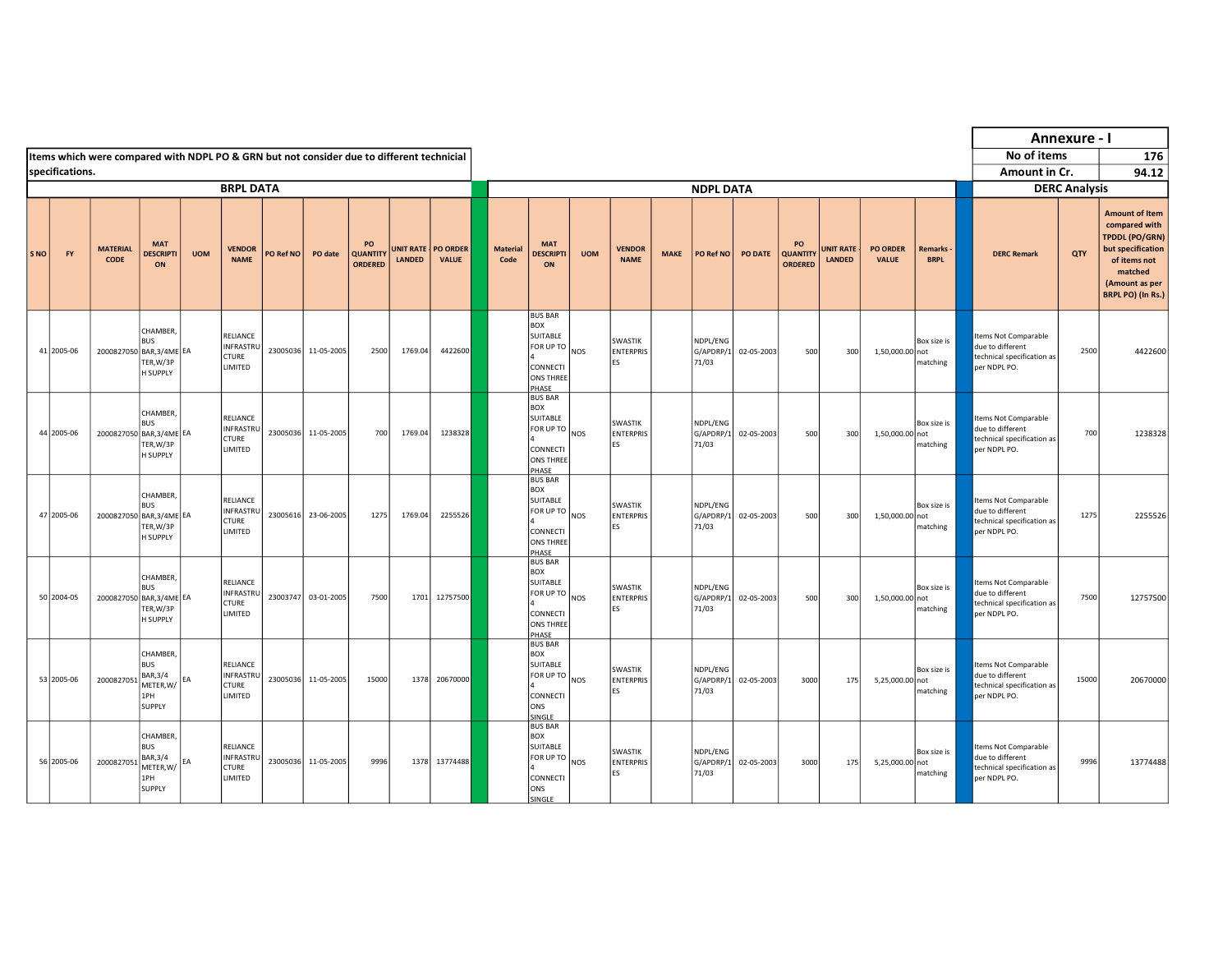|     |                 |                                                                                           |                                                                         |            |                                                                |           |                     |                                         |                                   |                                 |                         |                                                                                                    |            |                                          |             |                                |            |                                  |                            |                                 |                          |                                                                                               | Annexure - I         |                                                                                                                                                        |
|-----|-----------------|-------------------------------------------------------------------------------------------|-------------------------------------------------------------------------|------------|----------------------------------------------------------------|-----------|---------------------|-----------------------------------------|-----------------------------------|---------------------------------|-------------------------|----------------------------------------------------------------------------------------------------|------------|------------------------------------------|-------------|--------------------------------|------------|----------------------------------|----------------------------|---------------------------------|--------------------------|-----------------------------------------------------------------------------------------------|----------------------|--------------------------------------------------------------------------------------------------------------------------------------------------------|
|     |                 | Items which were compared with NDPL PO & GRN but not consider due to different technicial |                                                                         |            |                                                                |           |                     |                                         |                                   |                                 |                         |                                                                                                    |            |                                          |             |                                |            |                                  |                            |                                 |                          | No of items                                                                                   |                      | 176                                                                                                                                                    |
|     | specifications. |                                                                                           |                                                                         |            |                                                                |           |                     |                                         |                                   |                                 |                         |                                                                                                    |            |                                          |             |                                |            |                                  |                            |                                 |                          | Amount in Cr.                                                                                 |                      | 94.12                                                                                                                                                  |
|     |                 |                                                                                           |                                                                         |            | <b>BRPL DATA</b>                                               |           |                     |                                         |                                   |                                 |                         |                                                                                                    |            |                                          |             | <b>NDPL DATA</b>               |            |                                  |                            |                                 |                          |                                                                                               | <b>DERC Analysis</b> |                                                                                                                                                        |
| SNO | FY              | <b>MATERIAL</b><br>CODE                                                                   | <b>MAT</b><br><b>DESCRIPTI</b><br>ON                                    | <b>UOM</b> | <b>VENDOR</b><br><b>NAME</b>                                   | PO Ref NO | PO date             | PO<br><b>QUANTITY</b><br><b>ORDERED</b> | <b>UNIT RATE</b><br><b>LANDED</b> | <b>PO ORDER</b><br><b>VALUE</b> | <b>Material</b><br>Code | <b>MAT</b><br><b>DESCRIPTI</b><br>ON                                                               | <b>UOM</b> | <b>VENDOR</b><br><b>NAME</b>             | <b>MAKE</b> | PO Ref NO                      | PO DATE    | PO<br><b>QUANTITY</b><br>ORDERED | <b>UNIT RATE</b><br>LANDED | <b>PO ORDER</b><br><b>VALUE</b> | Remarks -<br><b>BRPL</b> | <b>DERC Remark</b>                                                                            | QTY                  | <b>Amount of Item</b><br>compared with<br><b>TPDDL (PO/GRN)</b><br>but specification<br>of items not<br>matched<br>(Amount as per<br>BRPL PO) (In Rs.) |
|     | 41 2005-06      | 2000827050 BAR, 3/4ME EA                                                                  | CHAMBER,<br><b>BUS</b><br>TER, W/3P<br>H SUPPLY                         |            | RELIANCE<br>INFRASTRU<br><b>CTURE</b><br>LIMITED               |           | 23005036 11-05-2005 | 2500                                    | 1769.04                           | 4422600                         |                         | <b>BUS BAR</b><br><b>BOX</b><br>SUITABLE<br>FOR UP TO<br>CONNECTI<br><b>ONS THREE</b><br>PHASE     | <b>NOS</b> | <b>SWASTIK</b><br><b>ENTERPRIS</b><br>ES |             | NDPL/ENG<br>G/APDRP/1<br>71/03 | 02-05-2003 | 500                              | 300                        | 1,50,000.00 not                 | Box size is<br>matching  | Items Not Comparable<br>due to different<br>technical specification as<br>per NDPL PO.        | 2500                 | 4422600                                                                                                                                                |
|     | 44 2005-06      | 2000827050 BAR, 3/4ME EA                                                                  | CHAMBER.<br><b>BUS</b><br>TER, W/3P<br>H SUPPLY                         |            | RELIANCE<br>INFRASTRU<br><b>CTURE</b><br><b>LIMITED</b>        |           | 23005036 11-05-2005 | 700                                     | 1769.04                           | 1238328                         |                         | <b>BUS BAR</b><br><b>BOX</b><br>SUITABLE<br>FOR UP TO NOS<br>CONNECTI<br><b>ONS THREE</b><br>PHASE |            | SWASTIK<br><b>ENTERPRIS</b><br>ES        |             | NDPL/ENG<br>G/APDRP/1<br>71/03 | 02-05-2003 | 500                              | 300                        | 1,50,000.00 not                 | Box size is<br>matching  | Items Not Comparable<br>due to different<br>technical specification as<br>per NDPL PO.        | 700                  | 1238328                                                                                                                                                |
|     | 47 2005-06      | 2000827050 BAR, 3/4ME EA                                                                  | CHAMBER,<br><b>BUS</b><br>TER, W/3P<br>H SUPPLY                         |            | RELIANCE<br><b>INFRASTRU</b><br><b>CTURE</b><br>LIMITED        |           | 23005616 23-06-2005 | 1275                                    | 1769.04                           | 2255526                         |                         | <b>BUS BAR</b><br><b>BOX</b><br>SUITABLE<br>FOR UP TO NOS<br>CONNECTI<br><b>ONS THREE</b><br>PHASE |            | SWASTIK<br><b>ENTERPRIS</b><br>ES        |             | NDPL/ENG<br>G/APDRP/1<br>71/03 | 02-05-2003 | 500                              | 300                        | 1,50,000.00 not                 | Box size is<br>matching  | Items Not Comparable<br>due to different<br>technical specification as<br>per NDPL PO.        | 1275                 | 2255526                                                                                                                                                |
|     | 50 2004-05      | 2000827050 BAR, 3/4ME EA                                                                  | CHAMBER,<br><b>BUS</b><br>TER, W/3P<br>H SUPPLY                         |            | RELIANCE<br><b>INFRASTRU</b><br><b>CTURE</b><br><b>LIMITED</b> |           | 23003747 03-01-2005 | 7500                                    | 1701                              | 12757500                        |                         | <b>BUS BAR</b><br><b>BOX</b><br>SUITABLE<br>FOR UP TO<br>CONNECTI<br><b>ONS THREE</b><br>PHASE     | <b>NOS</b> | <b>SWASTIK</b><br><b>ENTERPRIS</b><br>ES |             | NDPL/ENG<br>G/APDRP/1<br>71/03 | 02-05-2003 | 500                              | 300                        | 1,50,000.00 not                 | Box size is<br>matching  | <b>Items Not Comparable</b><br>due to different<br>technical specification as<br>per NDPL PO. | 7500                 | 12757500                                                                                                                                               |
|     | 53 2005-06      | 2000827051                                                                                | CHAMBER,<br><b>BUS</b><br>BAR, 3/4<br>METER, W / EA<br>1PH<br>SUPPLY    |            | RELIANCE<br><b>INFRASTRU</b><br><b>CTURE</b><br>LIMITED        |           | 23005036 11-05-2005 | 15000                                   | 1378                              | 20670000                        |                         | <b>BUS BAR</b><br><b>BOX</b><br>SUITABLE<br>FOR UP TO NOS<br>CONNECTI<br>ONS<br>SINGLE             |            | SWASTIK<br><b>ENTERPRIS</b><br><b>ES</b> |             | NDPL/ENG<br>G/APDRP/1<br>71/03 | 02-05-2003 | 3000                             | 175                        | 5,25,000.00 not                 | Box size is<br>matching  | Items Not Comparable<br>due to different<br>technical specification as<br>per NDPL PO.        | 15000                | 20670000                                                                                                                                               |
|     | 56 2005-06      | 2000827051                                                                                | CHAMBER,<br><b>BUS</b><br>BAR, 3/4<br>METER, W/<br>1PH<br><b>SUPPLY</b> | EA         | <b>RELIANCE</b><br><b>INFRASTRU</b><br><b>CTURE</b><br>LIMITED |           | 23005036 11-05-2005 | 9996                                    | 1378                              | 13774488                        |                         | <b>BUS BAR</b><br><b>BOX</b><br>SUITABLE<br>FOR UP TO<br>CONNECTI<br>ONS<br>SINGLE                 | <b>NOS</b> | <b>SWASTIK</b><br><b>ENTERPRIS</b><br>ES |             | NDPL/ENG<br>G/APDRP/1<br>71/03 | 02-05-2003 | 3000                             | 175                        | 5,25,000.00 not                 | Box size is<br>matching  | Items Not Comparable<br>due to different<br>technical specification as<br>per NDPL PO.        | 9996                 | 13774488                                                                                                                                               |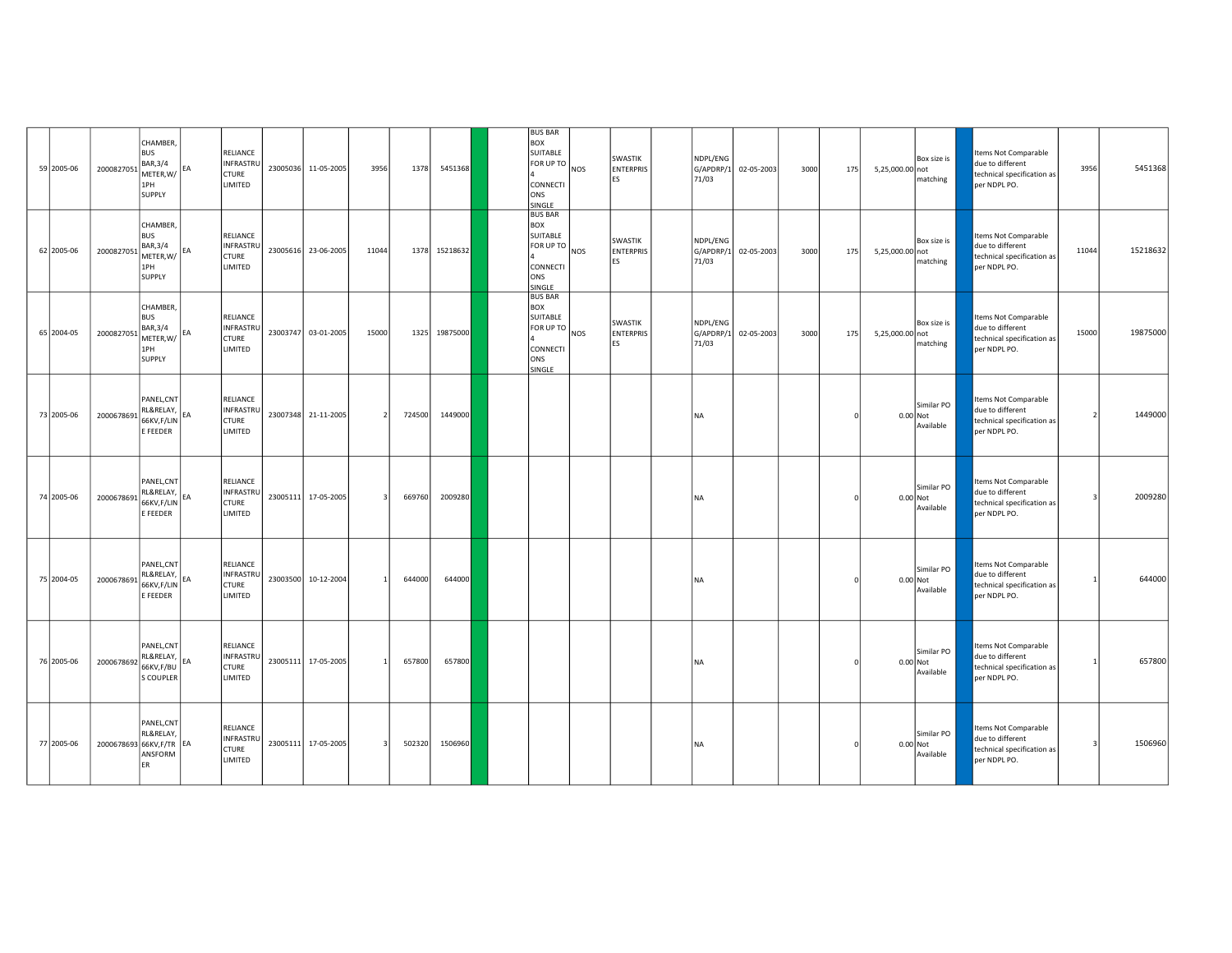| 59 2005-06 | 2000827051               | CHAMBER,<br><b>BUS</b><br>BAR, 3/4<br>$METER, W/$ $EA$<br>1PH<br>SUPPLY                                                   | RELIANCE<br><b>INFRASTRU</b><br><b>CTURE</b><br>LIMITED        | 23005036 11-05-2005 | 3956                     | 1378   | 5451368  | <b>BUS BAR</b><br><b>BOX</b><br>SUITABLE<br>FOR UP TO NOS<br>CONNECTI<br>ONS<br>SINGLE                 | SWASTIK<br><b>ENTERPRIS</b><br>ES | NDPL/ENG<br>G/APDRP/1<br>71/03 | 02-05-2003 | 3000 | 175 | 5,25,000.00 not | Box size is<br>matching               | Items Not Comparable<br>due to different<br>technical specification as<br>per NDPL PO. | 3956  | 5451368  |
|------------|--------------------------|---------------------------------------------------------------------------------------------------------------------------|----------------------------------------------------------------|---------------------|--------------------------|--------|----------|--------------------------------------------------------------------------------------------------------|-----------------------------------|--------------------------------|------------|------|-----|-----------------|---------------------------------------|----------------------------------------------------------------------------------------|-------|----------|
| 62 2005-06 | 2000827051               | CHAMBER,<br><b>BUS</b><br>BAR, 3/4<br>$METER, W/$ EA<br>1PH<br>SUPPLY                                                     | RELIANCE<br><b>INFRASTRU</b><br><b>CTURE</b><br><b>LIMITED</b> | 23005616 23-06-2005 | 11044                    | 1378   | 15218632 | <b>BUS BAR</b><br><b>BOX</b><br>SUITABLE<br>$[FOR UP TO ]$ <sub>NOS</sub><br>CONNECTI<br>ONS<br>SINGLE | SWASTIK<br><b>ENTERPRIS</b><br>ES | NDPL/ENG<br>G/APDRP/1<br>71/03 | 02-05-2003 | 3000 | 175 | 5,25,000.00 not | Box size is<br>matching               | Items Not Comparable<br>due to different<br>technical specification as<br>per NDPL PO. | 11044 | 15218632 |
| 65 2004-05 | 2000827051               | CHAMBER,<br><b>BUS</b><br>BAR, 3/4<br>$\left  \begin{array}{c} 1 & -1 \\ -1 & -1 \end{array} \right $ EA<br>1PH<br>SUPPLY | RELIANCE<br>INFRASTRU<br><b>CTURE</b><br>LIMITED               | 23003747 03-01-2005 | 15000                    | 1325   | 19875000 | <b>BUS BAR</b><br><b>BOX</b><br>SUITABLE<br>FOR UP TO NOS<br>CONNECTI<br>ONS<br><b>SINGLE</b>          | SWASTIK<br><b>ENTERPRIS</b><br>ES | NDPL/ENG<br>G/APDRP/1<br>71/03 | 02-05-2003 | 3000 | 175 | 5,25,000.00 not | Box size is<br>matching               | Items Not Comparable<br>due to different<br>technical specification as<br>per NDPL PO. | 15000 | 19875000 |
| 73 2005-06 | 2000678691               | PANEL, CNT<br>RL&RELAY, EA<br>66KV,F/LIN<br>E FEEDER                                                                      | <b>RELIANCE</b><br>INFRASTRU<br><b>CTURE</b><br>LIMITED        | 23007348 21-11-2005 | $\overline{\phantom{a}}$ | 724500 | 1449000  |                                                                                                        |                                   | NA                             |            |      |     |                 | Similar PO<br>$0.00$ Not<br>Available | Items Not Comparable<br>due to different<br>technical specification as<br>per NDPL PO. |       | 1449000  |
| 74 2005-06 | 2000678691               | PANEL, CNT<br>RL&RELAY,<br>66KV,F/LIN<br>E FEEDER                                                                         | RELIANCE<br><b>INFRASTRU</b><br><b>CTURE</b><br>LIMITED        | 23005111 17-05-2005 | $\mathbf{3}$             | 669760 | 2009280  |                                                                                                        |                                   | NA                             |            |      |     |                 | Similar PO<br>0.00 Not<br>Available   | Items Not Comparable<br>due to different<br>technical specification as<br>per NDPL PO. | в     | 2009280  |
| 75 2004-05 | 2000678691               | PANEL, CNT<br>RL&RELAY,<br>66KV,F/LIN<br>E FEEDER                                                                         | <b>RELIANCE</b><br><b>INFRASTRU</b><br><b>CTURE</b><br>LIMITED | 23003500 10-12-2004 |                          | 644000 | 644000   |                                                                                                        |                                   | <b>NA</b>                      |            |      |     |                 | Similar PO<br>$0.00$ Not<br>Available | tems Not Comparable<br>due to different<br>technical specification as<br>per NDPL PO.  |       | 644000   |
| 76 2005-06 | 2000678692               | PANEL, CNT<br>RL&RELAY,<br>66KV,F/BU<br>S COUPLER                                                                         | RELIANCE<br><b>INFRASTRU</b><br><b>CTURE</b><br><b>LIMITED</b> | 23005111 17-05-2005 | $\mathbf{1}$             | 657800 | 657800   |                                                                                                        |                                   | NA                             |            |      |     |                 | Similar PO<br>$0.00$ Not<br>Available | Items Not Comparable<br>due to different<br>technical specification as<br>per NDPL PO. |       | 657800   |
| 77 2005-06 | 2000678693 66KV, F/TR EA | PANEL, CNT<br>RL&RELAY,<br>ANSFORM<br>ER                                                                                  | <b>RELIANCE</b><br>INFRASTRU<br><b>CTURE</b><br>LIMITED        | 23005111 17-05-2005 | 3                        | 502320 | 1506960  |                                                                                                        |                                   | NA                             |            |      |     | 0.00 Not        | Similar PO<br>Available               | Items Not Comparable<br>due to different<br>technical specification as<br>per NDPL PO. | 3     | 1506960  |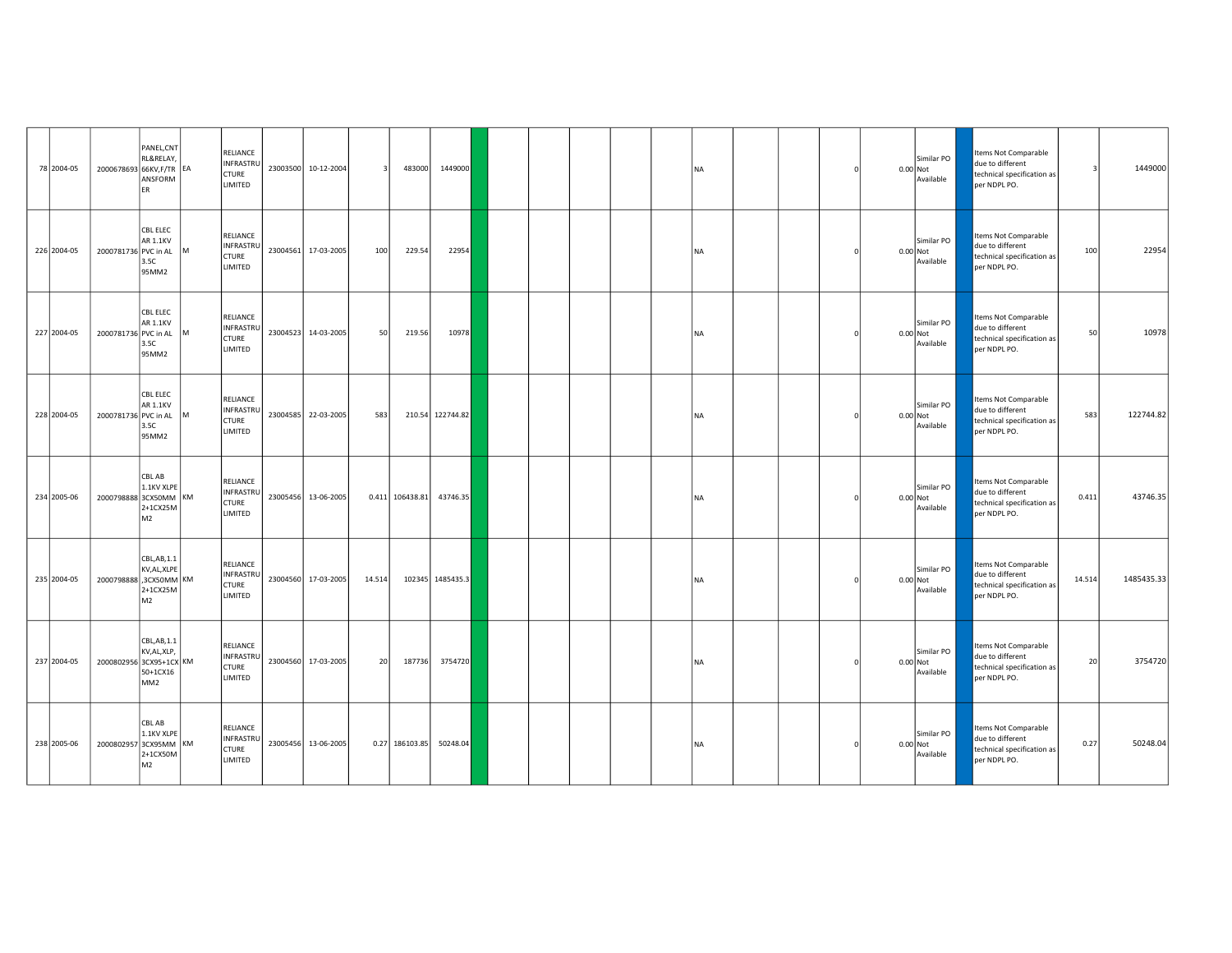| 78 2004-05  | 2000678693 66KV, F/TR EA | PANEL, CNT<br>RL&RELAY,<br>ANSFORM<br>FR.                 |     | RELIANCE<br><b>INFRASTRU</b><br>CTURE<br>LIMITED               |          | 23003500 10-12-2004 |        | 483000           | 1449000          |  |  | <b>NA</b> |  |  | Similar PO<br>0.00 Not<br>Available   | Items Not Comparable<br>due to different<br>technical specification as<br>per NDPL PO. |        | 1449000    |
|-------------|--------------------------|-----------------------------------------------------------|-----|----------------------------------------------------------------|----------|---------------------|--------|------------------|------------------|--|--|-----------|--|--|---------------------------------------|----------------------------------------------------------------------------------------|--------|------------|
| 226 2004-05 | 2000781736 PVC in AL     | <b>CBL ELEC</b><br><b>AR 1.1KV</b><br>3.5C<br>95MM2       | Iм. | RELIANCE<br><b>INFRASTRU</b><br>CTURE<br>LIMITED               |          | 23004561 17-03-2005 | 100    | 229.54           | 22954            |  |  | <b>NA</b> |  |  | Similar PO<br>$0.00$ Not<br>Available | Items Not Comparable<br>due to different<br>technical specification as<br>per NDPL PO. | 100    | 22954      |
| 227 2004-05 | 2000781736 PVC in AL     | <b>CBL ELEC</b><br><b>AR 1.1KV</b><br>3.5C<br>95MM2       |     | <b>RELIANCE</b><br><b>INFRASTRU</b><br><b>CTURE</b><br>LIMITED | 23004523 | 14-03-2005          | 50     | 219.56           | 10978            |  |  | <b>NA</b> |  |  | Similar PO<br>$0.00$ Not<br>Available | tems Not Comparable<br>due to different<br>technical specification as<br>per NDPL PO.  | 50     | 10978      |
| 228 2004-05 | 2000781736 PVC in AL     | <b>CBL ELEC</b><br><b>AR 1.1KV</b><br>3.5C<br>95MM2       | M   | RELIANCE<br>INFRASTRU<br><b>CTURE</b><br>LIMITED               |          | 23004585 22-03-2005 | 583    |                  | 210.54 122744.82 |  |  | <b>NA</b> |  |  | Similar PO<br>$0.00$ Not<br>Available | Items Not Comparable<br>due to different<br>technical specification as<br>per NDPL PO. | 583    | 122744.82  |
| 234 2005-06 | 2000798888 3CX50MM KM    | CBL AB<br>1.1KV XLPE<br>2+1CX25M<br>M <sub>2</sub>        |     | RELIANCE<br>INFRASTRU<br><b>CTURE</b><br><b>LIMITED</b>        |          | 23005456 13-06-2005 |        | 0.411 106438.81  | 43746.35         |  |  | <b>NA</b> |  |  | Similar PO<br>0.00 Not<br>Available   | Items Not Comparable<br>due to different<br>technical specification as<br>per NDPL PO. | 0.411  | 43746.35   |
| 235 2004-05 | 2000798888 3CX50MM KM    | CBL,AB,1.1<br>KV, AL, XLPE<br>2+1CX25M<br>M <sub>2</sub>  |     | RELIANCE<br><b>INFRASTRU</b><br>CTURE<br>LIMITED               |          | 23004560 17-03-2005 | 14.514 |                  | 102345 1485435.3 |  |  | <b>NA</b> |  |  | Similar PO<br>$0.00$ Not<br>Available | Items Not Comparable<br>due to different<br>technical specification as<br>per NDPL PO. | 14.514 | 1485435.33 |
| 237 2004-05 | 2000802956 3CX95+1CX KM  | CBL,AB,1.1<br>KV, AL, XLP,<br>50+1CX16<br>MM <sub>2</sub> |     | RELIANCE<br>INFRASTRU<br><b>CTURE</b><br>LIMITED               |          | 23004560 17-03-2005 | 20     | 187736           | 3754720          |  |  | <b>NA</b> |  |  | Similar PO<br>$0.00$ Not<br>Available | Items Not Comparable<br>due to different<br>technical specification as<br>per NDPL PO. | 20     | 3754720    |
| 238 2005-06 | 2000802957 3CX95MM KM    | CBL AB<br>1.1KV XLPE<br>2+1CX50M<br>M <sub>2</sub>        |     | RELIANCE<br>INFRASTRU<br><b>CTURE</b><br>LIMITED               |          | 23005456 13-06-2005 |        | $0.27$ 186103.85 | 50248.04         |  |  | <b>NA</b> |  |  | Similar PO<br>0.00 Not<br>Available   | Items Not Comparable<br>due to different<br>technical specification as<br>per NDPL PO. | 0.27   | 50248.04   |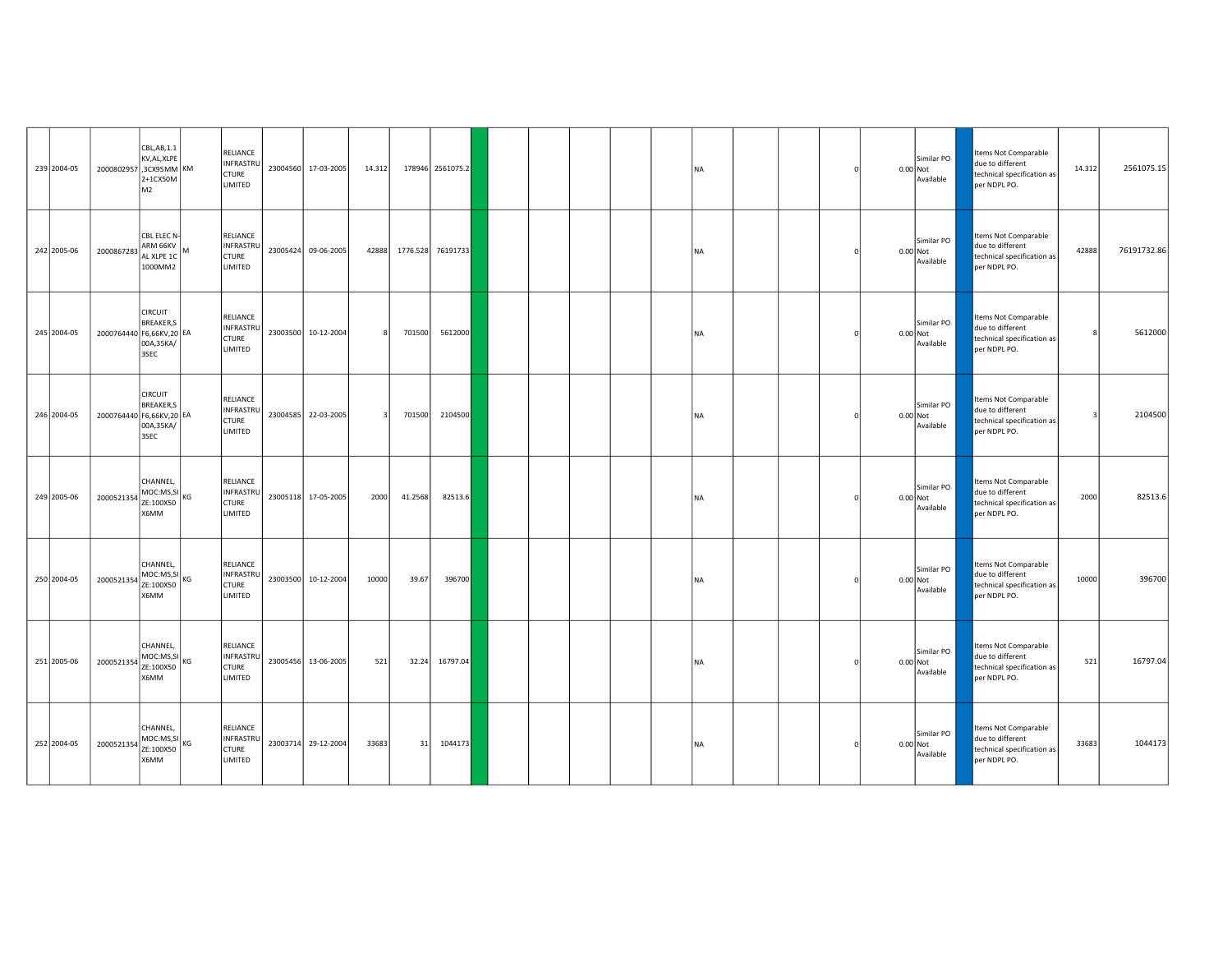| 239 2004-05 | 2000802957 3CX95MM KM    | CBL,AB,1.1<br>KV, AL, XLPE<br>2+1CX50M<br>M <sub>2</sub>    |    | RELIANCE<br><b>INFRASTRU</b><br>CTURE<br>LIMITED        | 23004560 17-03-2005 | 14.312 |          | 178946 2561075.2 |  |  | <b>NA</b> |  |          | Similar PO<br>$0.00$ Not<br>Available | Items Not Comparable<br>due to different<br>technical specification as<br>per NDPL PO. | 14.312 | 2561075.15  |
|-------------|--------------------------|-------------------------------------------------------------|----|---------------------------------------------------------|---------------------|--------|----------|------------------|--|--|-----------|--|----------|---------------------------------------|----------------------------------------------------------------------------------------|--------|-------------|
| 242 2005-06 | 2000867283               | CBL ELEC N-<br>ARM 66KV<br>AL XLPE 1C<br>1000MM2            | lм | RELIANCE<br><b>INFRASTRU</b><br><b>CTURE</b><br>LIMITED | 23005424 09-06-2005 | 42888  | 1776.528 | 76191733         |  |  | <b>NA</b> |  | 0.00 Not | Similar PO<br>Available               | Items Not Comparable<br>due to different<br>technical specification as<br>per NDPL PO. | 42888  | 76191732.86 |
| 245 2004-05 | 2000764440 F6,66KV,20 EA | <b>CIRCUIT</b><br><b>BREAKER,S</b><br>00A,35KA/<br>3SEC     |    | RELIANCE<br>INFRASTRU<br><b>CTURE</b><br>LIMITED        | 23003500 10-12-2004 |        | 701500   | 5612000          |  |  | <b>NA</b> |  |          | Similar PO<br>$0.00$ Not<br>Available | Items Not Comparable<br>due to different<br>technical specification as<br>per NDPL PO. |        | 5612000     |
| 246 2004-05 | 2000764440 F6,66KV,20 EA | <b>CIRCUIT</b><br><b>BREAKER,S</b><br>00A,35KA/<br>3SEC     |    | RELIANCE<br>INFRASTRU<br><b>CTURE</b><br>LIMITED        | 23004585 22-03-2005 |        | 701500   | 2104500          |  |  | <b>NA</b> |  |          | Similar PO<br>0.00 Not<br>Available   | Items Not Comparable<br>due to different<br>technical specification as<br>per NDPL PO. | -3     | 2104500     |
| 249 2005-06 | 2000521354               | CHANNEL.<br>$MOC:MS, SI$ <sub>KG</sub><br>ZE:100X50<br>X6MM |    | RELIANCE<br>INFRASTRU<br><b>CTURE</b><br>LIMITED        | 23005118 17-05-2005 | 2000   | 41.2568  | 82513.6          |  |  | <b>NA</b> |  | 0.00 Not | Similar PO<br>Available               | Items Not Comparable<br>due to different<br>technical specification as<br>per NDPL PO. | 2000   | 82513.6     |
| 250 2004-05 | 2000521354               | CHANNEL,<br>MOC:MS,SI<br>ZE:100X50<br>X6MM                  |    | RELIANCE<br><b>INFRASTRU</b><br><b>CTURE</b><br>LIMITED | 23003500 10-12-2004 | 10000  | 39.67    | 396700           |  |  | NA        |  | 0.00 Not | Similar PO<br>Available               | Items Not Comparable<br>due to different<br>technical specification as<br>per NDPL PO. | 10000  | 396700      |
| 251 2005-06 | 2000521354               | CHANNEL,<br>MOC:MS, SI<br>ZE:100X50<br>X6MM                 |    | RELIANCE<br>INFRASTRU<br><b>CTURE</b><br>LIMITED        | 23005456 13-06-2005 | 521    | 32.24    | 16797.04         |  |  | <b>NA</b> |  |          | Similar PO<br>$0.00$ Not<br>Available | Items Not Comparable<br>due to different<br>technical specification as<br>per NDPL PO. | 521    | 16797.04    |
| 252 2004-05 | 2000521354               | CHANNEL,<br>MOC:MS,SI<br>ZE:100X50<br>MM <sub>X</sub>       |    | RELIANCE<br>INFRASTRU<br><b>CTURE</b><br>LIMITED        | 23003714 29-12-2004 | 33683  | 31       | 1044173          |  |  | <b>NA</b> |  | 0.00 Not | Similar PO<br>Available               | Items Not Comparable<br>due to different<br>technical specification as<br>per NDPL PO. | 33683  | 1044173     |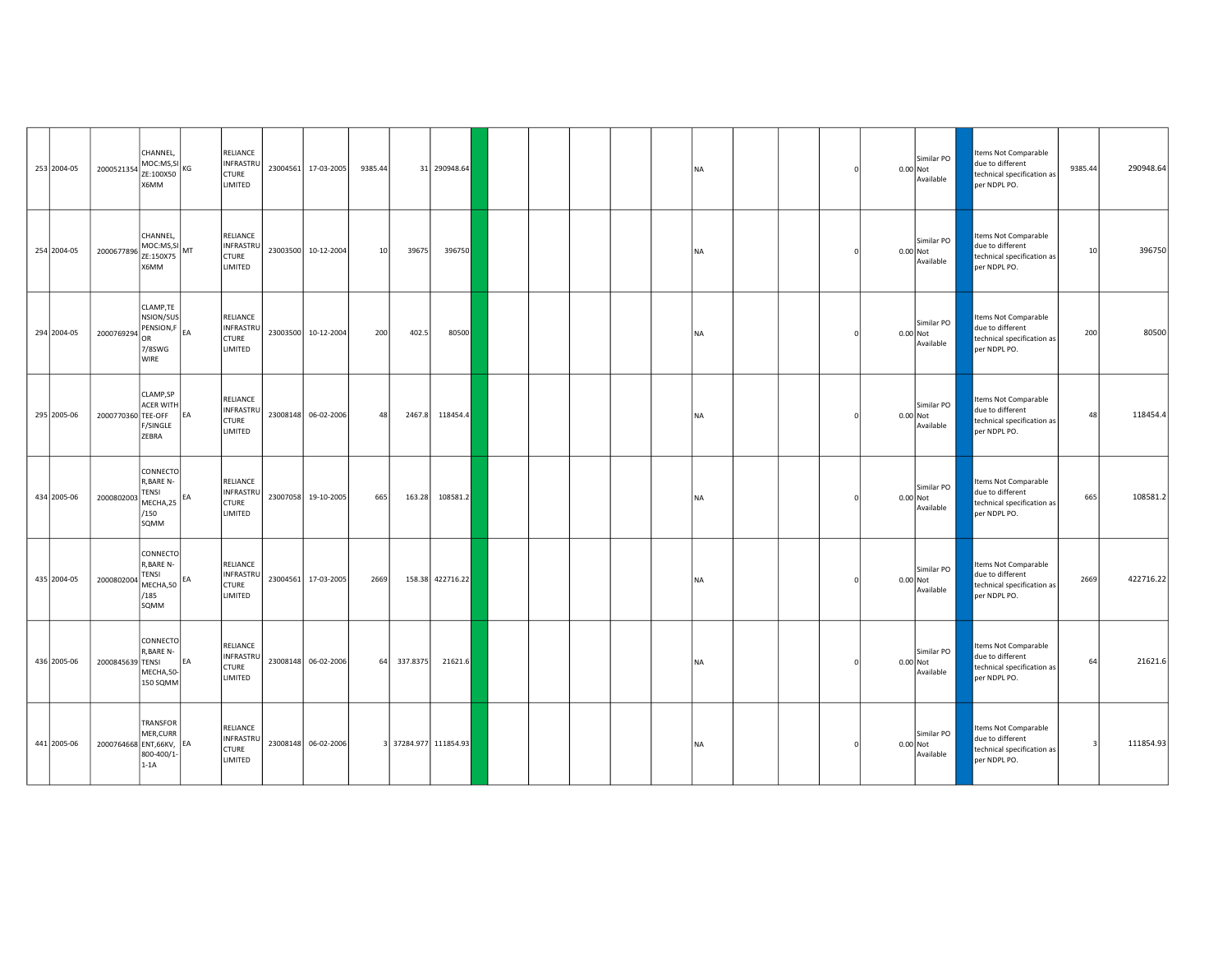| 253 2004-05 | 2000521354               | CHANNEL,<br>MOC:MS,SI<br>ZE:100X50<br>X6MM                           |    | RELIANCE<br><b>INFRASTRU</b><br><b>CTURE</b><br><b>LIMITED</b> | 23004561 17-03-2005 | 9385.44 |          | 31 290948.64          |  |  | <b>NA</b> |  |  | Similar PO<br>$0.00$ Not<br>Available | Items Not Comparable<br>due to different<br>technical specification as<br>per NDPL PO. | 9385.44 | 290948.64 |
|-------------|--------------------------|----------------------------------------------------------------------|----|----------------------------------------------------------------|---------------------|---------|----------|-----------------------|--|--|-----------|--|--|---------------------------------------|----------------------------------------------------------------------------------------|---------|-----------|
| 254 2004-05 | 2000677896               | CHANNEL,<br>MOC:MS, SI<br>ZE:150X75<br>X6MM                          |    | RELIANCE<br>INFRASTRU<br><b>CTURE</b><br>LIMITED               | 23003500 10-12-2004 | 10      | 39675    | 396750                |  |  | <b>NA</b> |  |  | Similar PO<br>0.00 Not<br>Available   | Items Not Comparable<br>due to different<br>technical specification as<br>per NDPL PO. | 10      | 396750    |
| 294 2004-05 | 2000769294               | CLAMP,TE<br>NSION/SUS<br>PENSION,F EA<br>OR<br>7/8SWG<br><b>WIRE</b> |    | RELIANCE<br>INFRASTRU<br><b>CTURE</b><br>LIMITED               | 23003500 10-12-2004 | 200     | 402.5    | 80500                 |  |  | <b>NA</b> |  |  | Similar PO<br>0.00 Not<br>Available   | Items Not Comparable<br>due to different<br>technical specification as<br>per NDPL PO. | 200     | 80500     |
| 295 2005-06 | 2000770360 TEE-OFF       | CLAMP.SP<br><b>ACER WITH</b><br>F/SINGLE<br>ZEBRA                    | EA | RELIANCE<br>INFRASTRU<br>CTURE<br>LIMITED                      | 23008148 06-02-2006 | 48      | 2467.8   | 118454.4              |  |  | <b>NA</b> |  |  | Similar PO<br>$0.00$ Not<br>Available | Items Not Comparable<br>due to different<br>technical specification as<br>per NDPL PO. | 48      | 118454.4  |
| 434 2005-06 | 2000802003               | CONNECTO<br>R.BARE N-<br><b>TENSI</b><br>MECHA,25<br>/150<br>SQMM    | EA | <b>RELIANCE</b><br>INFRASTRU<br><b>CTURE</b><br>LIMITED        | 23007058 19-10-2005 | 665     | 163.28   | 108581.2              |  |  | <b>NA</b> |  |  | Similar PO<br>0.00 Not<br>Available   | Items Not Comparable<br>due to different<br>technical specification as<br>per NDPL PO. | 665     | 108581.2  |
| 435 2004-05 | 2000802004               | CONNECTO<br>R, BARE N-<br>TENSI<br>MECHA,50<br>/185<br>SQMM          | EA | RELIANCE<br><b>INFRASTRU</b><br>CTURE<br>LIMITED               | 23004561 17-03-2005 | 2669    |          | 158.38 422716.22      |  |  | <b>NA</b> |  |  | Similar PO<br>$0.00$ Not<br>Available | Items Not Comparable<br>due to different<br>technical specification as<br>per NDPL PO. | 2669    | 422716.22 |
| 436 2005-06 | 2000845639 TENSI         | CONNECTO<br>R, BARE N-<br>MECHA,50-<br>150 SQMM                      | EA | RELIANCE<br>INFRASTRU<br>CTURE<br>LIMITED                      | 23008148 06-02-2006 | 64      | 337.8375 | 21621.6               |  |  | <b>NA</b> |  |  | Similar PO<br>0.00 Not<br>Available   | Items Not Comparable<br>due to different<br>technical specification as<br>per NDPL PO. | 64      | 21621.6   |
| 441 2005-06 | 2000764668 ENT, 66KV, EA | <b>TRANSFOR</b><br>MER, CURR<br>800-400/1-<br>$1-1A$                 |    | RELIANCE<br>INFRASTRU<br><b>CTURE</b><br>LIMITED               | 23008148 06-02-2006 |         |          | 3 37284.977 111854.93 |  |  | <b>NA</b> |  |  | Similar PO<br>0.00 Not<br>Available   | Items Not Comparable<br>due to different<br>technical specification as<br>per NDPL PO. |         | 111854.93 |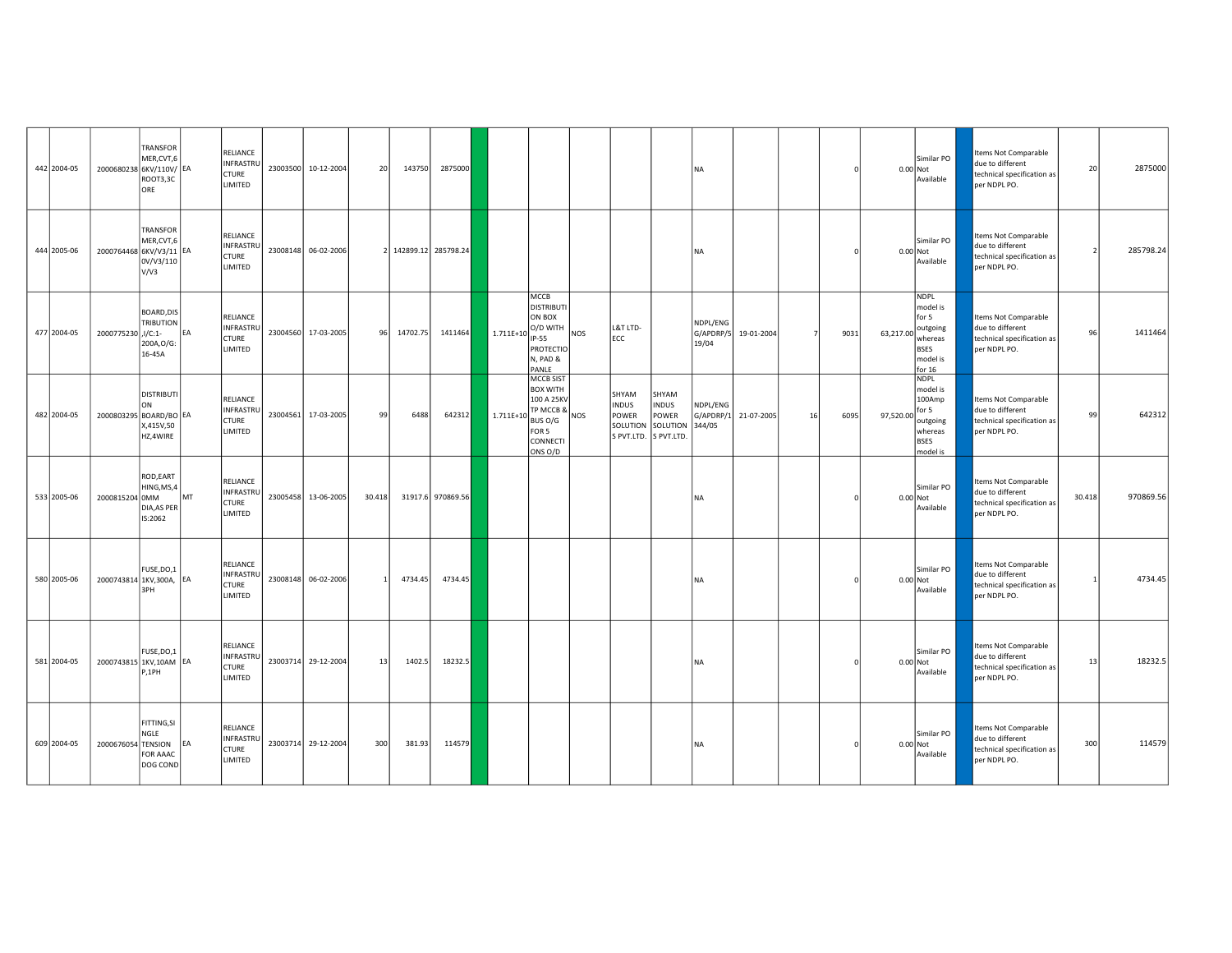| 442 2004-05 | 2000680238 6KV/110V/ EA | TRANSFOR<br>MER, CVT, 6<br>ROOT3,3C<br>ORE             |           | RELIANCE<br><b>INFRASTRU</b><br><b>CTURE</b><br>LIMITED | 23003500 10-12-2004 | 20     | 143750   | 2875000             |              |                                                                                                    |            |                                                                     |                                            | <b>NA</b>                       |                      |    |      | 0.00 Not  | Similar PO<br>Available                                                                        | Items Not Comparable<br>due to different<br>technical specification as<br>per NDPL PO.        | 20     | 2875000   |
|-------------|-------------------------|--------------------------------------------------------|-----------|---------------------------------------------------------|---------------------|--------|----------|---------------------|--------------|----------------------------------------------------------------------------------------------------|------------|---------------------------------------------------------------------|--------------------------------------------|---------------------------------|----------------------|----|------|-----------|------------------------------------------------------------------------------------------------|-----------------------------------------------------------------------------------------------|--------|-----------|
| 444 2005-06 | 2000764468 6KV/V3/11 EA | TRANSFOR<br>MER, CVT, 6<br>0V/V3/110<br>V/V3           |           | RELIANCE<br><b>INFRASTRU</b><br><b>CTURE</b><br>LIMITED | 23008148 06-02-2006 |        |          | 142899.12 285798.24 |              |                                                                                                    |            |                                                                     |                                            | <b>NA</b>                       |                      |    |      | 0.00 Not  | Similar PO<br>Available                                                                        | Items Not Comparable<br>due to different<br>technical specification as<br>per NDPL PO.        |        | 285798.24 |
| 477 2004-05 | 2000775230 J/C:1-       | BOARD, DIS<br><b>TRIBUTION</b><br>200A, O/G:<br>16-45A | <b>FA</b> | RELIANCE<br>INFRASTRU<br><b>CTURE</b><br>LIMITED        | 23004560 17-03-2005 | 96     | 14702.75 | 1411464             | $1.711E+10$  | MCCB<br><b>DISTRIBUTI</b><br>ON BOX<br>O/D WITH<br>IP-55<br><b>PROTECTIO</b><br>N, PAD &<br>PANLE  | NOS        | L&T LTD-<br>ECC                                                     |                                            | NDPL/ENG<br>19/04               | G/APDRP/5 19-01-2004 |    | 9031 | 63,217.00 | <b>NDPL</b><br>model is<br>for 5<br>outgoing<br>whereas<br><b>BSES</b><br>model is<br>for $16$ | Items Not Comparable<br>due to different<br>technical specification as<br>per NDPL PO.        | 96     | 1411464   |
| 482 2004-05 | 2000803295 BOARD/BO EA  | <b>DISTRIBUTI</b><br>ON<br>X,415V,50<br>HZ,4WIRE       |           | RELIANCE<br>INFRASTRU<br><b>CTURE</b><br>LIMITED        | 23004561 17-03-2005 | 99     | 6488     | 642312              | $1.711E + 1$ | MCCB SIST<br><b>BOX WITH</b><br>100 A 25KV<br>TP MCCB &<br>BUS O/G<br>FOR 5<br>CONNECTI<br>ONS O/D | <b>NOS</b> | SHYAM<br><b>INDUS</b><br>POWER<br>SOLUTION<br>S PVT.LTD. S PVT.LTD. | SHYAM<br><b>INDUS</b><br>POWER<br>SOLUTION | NDPL/ENG<br>G/APDRP/1<br>344/05 | 21-07-2005           | 16 | 6095 | 97,520.00 | <b>NDPL</b><br>model is<br>100Amp<br>for 5<br>outgoing<br>whereas<br><b>BSES</b><br>model is   | Items Not Comparable<br>due to different<br>technical specification as<br>per NDPL PO.        | 99     | 642312    |
| 533 2005-06 | 2000815204 0MM          | ROD, EART<br>HING, MS, 4<br>DIA, AS PER<br>IS:2062     | <b>MT</b> | RELIANCE<br>INFRASTRU<br><b>CTURE</b><br>LIMITED        | 23005458 13-06-2005 | 30.418 |          | 31917.6 970869.56   |              |                                                                                                    |            |                                                                     |                                            | <b>NA</b>                       |                      |    |      | 0.00 Not  | Similar PO<br>Available                                                                        | <b>Items Not Comparable</b><br>due to different<br>technical specification as<br>per NDPL PO. | 30.418 | 970869.56 |
| 580 2005-06 | 2000743814 1KV,300A, EA | FUSE, DO, 1<br>3PH                                     |           | RELIANCE<br><b>INFRASTRU</b><br><b>CTURE</b><br>LIMITED | 23008148 06-02-2006 |        | 4734.45  | 4734.45             |              |                                                                                                    |            |                                                                     |                                            | <b>NA</b>                       |                      |    |      | 0.00 Not  | Similar PO<br>Available                                                                        | Items Not Comparable<br>due to different<br>technical specification as<br>per NDPL PO.        |        | 4734.45   |
| 581 2004-05 | 2000743815 1KV,10AM EA  | FUSE, DO, 1<br>P,1PH                                   |           | RELIANCE<br><b>INFRASTRU</b><br><b>CTURE</b><br>LIMITED | 23003714 29-12-2004 | 13     | 1402.5   | 18232.5             |              |                                                                                                    |            |                                                                     |                                            | <b>NA</b>                       |                      |    |      | 0.00 Not  | Similar PO<br>Available                                                                        | Items Not Comparable<br>due to different<br>technical specification as<br>per NDPL PO.        | 13     | 18232.5   |
| 609 2004-05 | 2000676054 TENSION      | FITTING, SI<br>NGLE<br>FOR AAAC<br>DOG COND            | EA        | RELIANCE<br>INFRASTRU<br><b>CTURE</b><br>LIMITED        | 23003714 29-12-2004 | 300    | 381.93   | 114579              |              |                                                                                                    |            |                                                                     |                                            | <b>NA</b>                       |                      |    |      | 0.00 Not  | Similar PO<br>Available                                                                        | Items Not Comparable<br>due to different<br>technical specification as<br>per NDPL PO.        | 300    | 114579    |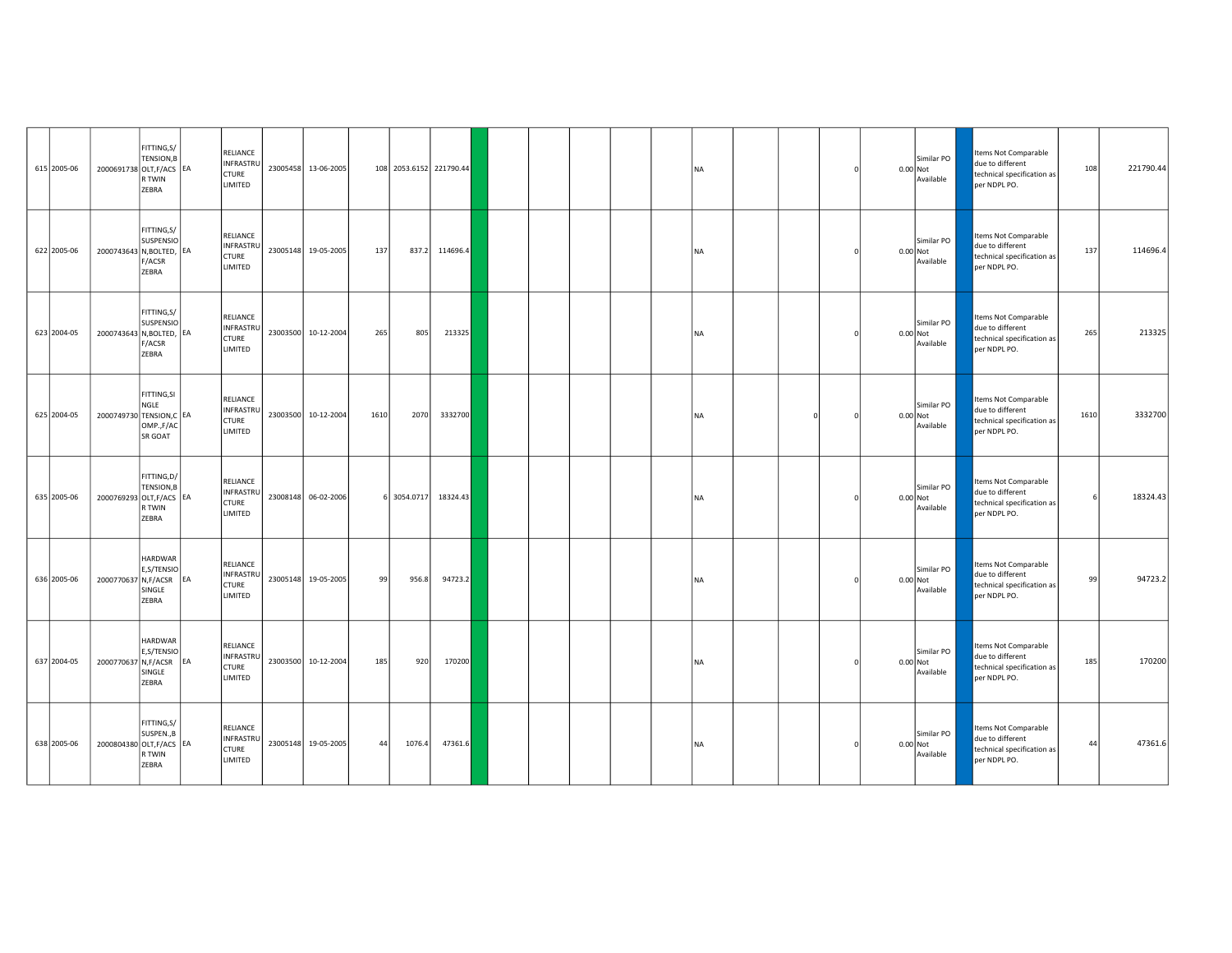| 615 2005-06 | 2000691738 OLT, F/ACS EA | FITTING, S/<br>TENSION, B<br>R TWIN<br>ZEBRA       |    | RELIANCE<br><b>INFRASTRU</b><br><b>CTURE</b><br>LIMITED | 23005458 13-06-2005 |      | 108 2053.6152 221790.44 |          |  |  | <b>NA</b> |          |  | Similar PO<br>0.00 Not<br>Available   | Items Not Comparable<br>due to different<br>technical specification as<br>per NDPL PO. | 108  | 221790.44 |
|-------------|--------------------------|----------------------------------------------------|----|---------------------------------------------------------|---------------------|------|-------------------------|----------|--|--|-----------|----------|--|---------------------------------------|----------------------------------------------------------------------------------------|------|-----------|
| 622 2005-06 | 2000743643 N, BOLTED, EA | FITTING, S/<br><b>SUSPENSIO</b><br>F/ACSR<br>ZEBRA |    | RELIANCE<br><b>INFRASTRU</b><br><b>CTURE</b><br>LIMITED | 23005148 19-05-2005 | 137  | 837.2                   | 114696.4 |  |  | <b>NA</b> |          |  | Similar PO<br>$0.00$ Not<br>Available | Items Not Comparable<br>due to different<br>technical specification as<br>per NDPL PO. | 137  | 114696.4  |
| 623 2004-05 | 2000743643 N, BOLTED, EA | FITTING, S/<br>SUSPENSIO<br>F/ACSR<br>ZEBRA        |    | RELIANCE<br>INFRASTRU<br><b>CTURE</b><br>LIMITED        | 23003500 10-12-2004 | 265  | 805                     | 213325   |  |  | <b>NA</b> |          |  | Similar PO<br>0.00 Not<br>Available   | tems Not Comparable<br>due to different<br>technical specification as<br>per NDPL PO.  | 265  | 213325    |
| 625 2004-05 | 2000749730 TENSION, C EA | FITTING, SI<br>NGLE<br>OMP.,F/AC<br>SR GOAT        |    | RELIANCE<br><b>INFRASTRU</b><br><b>CTURE</b><br>LIMITED | 23003500 10-12-2004 | 1610 | 2070                    | 3332700  |  |  | <b>NA</b> | $\Omega$ |  | Similar PO<br>$0.00$ Not<br>Available | Items Not Comparable<br>due to different<br>technical specification as<br>per NDPL PO. | 1610 | 3332700   |
| 635 2005-06 | 2000769293 OLT, F/ACS EA | FITTING, D/<br>TENSION, B<br>R TWIN<br>ZEBRA       |    | RELIANCE<br><b>INFRASTRI</b><br><b>CTURE</b><br>LIMITED | 23008148 06-02-2006 |      | 6 3054.0717             | 18324.43 |  |  | <b>NA</b> |          |  | Similar PO<br>0.00 Not<br>Available   | Items Not Comparable<br>due to different<br>technical specification as<br>per NDPL PO. |      | 18324.43  |
| 636 2005-06 | 2000770637 N,F/ACSR      | <b>HARDWAR</b><br>E,S/TENSIO<br>SINGLE<br>ZEBRA    | EA | RELIANCE<br><b>INFRASTRU</b><br><b>CTURE</b><br>LIMITED | 23005148 19-05-2005 | 99   | 956.8                   | 94723.2  |  |  | <b>NA</b> |          |  | Similar PO<br>$0.00$ Not<br>Available | Items Not Comparable<br>due to different<br>technical specification as<br>per NDPL PO. | 99   | 94723.2   |
| 637 2004-05 | 2000770637 N,F/ACSR      | HARDWAR<br>E,S/TENSIO<br>SINGLE<br>ZEBRA           | EA | RELIANCE<br>INFRASTRU<br><b>CTURE</b><br>LIMITED        | 23003500 10-12-2004 | 185  | 920                     | 170200   |  |  | <b>NA</b> |          |  | Similar PO<br>$0.00$ Not<br>Available | Items Not Comparable<br>due to different<br>technical specification as<br>per NDPL PO. | 185  | 170200    |
| 638 2005-06 | 2000804380 OLT, F/ACS EA | FITTING, S/<br>SUSPEN., B<br>R TWIN<br>ZEBRA       |    | RELIANCE<br>INFRASTRU<br>CTURE<br>LIMITED               | 23005148 19-05-2005 | 44   | 1076.4                  | 47361.6  |  |  | <b>NA</b> |          |  | Similar PO<br>$0.00$ Not<br>Available | Items Not Comparable<br>due to different<br>technical specification as<br>per NDPL PO. | 44   | 47361.6   |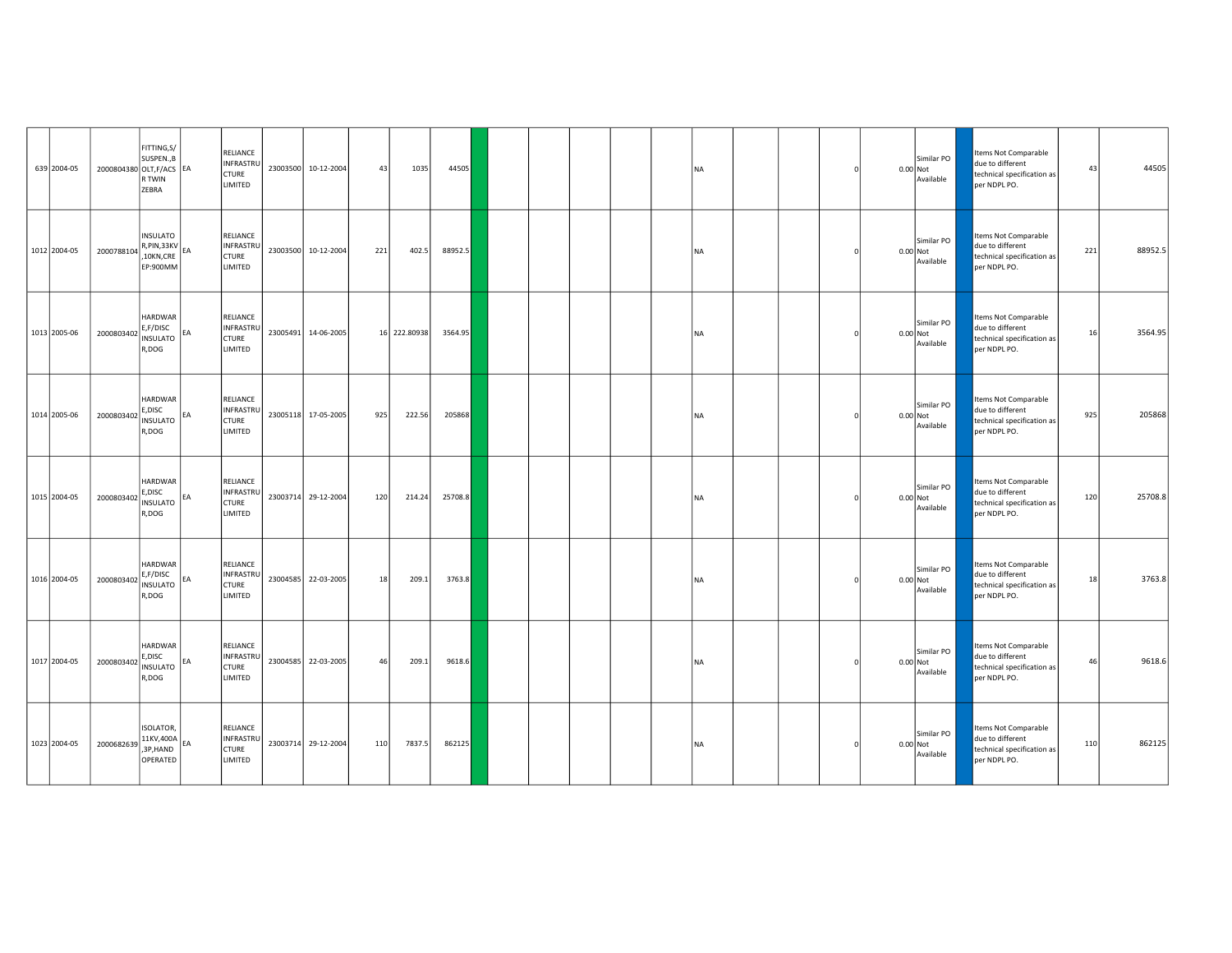| 639 2004-05  | 2000804380 OLT, F/ACS EA | FITTING, S/<br>SUSPEN., B<br>R TWIN<br>ZEBRA                               |           | RELIANCE<br>INFRASTRI<br><b>CTURE</b><br><b>LIMITED</b> |          | 23003500 10-12-2004 | 43  | 1035         | 44505   |  |  | <b>NA</b> |  |          | Similar PO<br>0.00 Not<br>Available   | Items Not Comparable<br>due to different<br>technical specification as<br>per NDPL PO. | 43  | 44505   |
|--------------|--------------------------|----------------------------------------------------------------------------|-----------|---------------------------------------------------------|----------|---------------------|-----|--------------|---------|--|--|-----------|--|----------|---------------------------------------|----------------------------------------------------------------------------------------|-----|---------|
| 1012 2004-05 | 2000788104               | <b>INSULATO</b><br>$\overline{R}$ , PIN, 33KV $E$<br>10KN, CRE<br>EP:900MM |           | RELIANCE<br>INFRASTRI<br><b>CTURE</b><br>LIMITED        |          | 23003500 10-12-2004 | 221 | 402.5        | 88952.5 |  |  | <b>NA</b> |  |          | Similar PO<br>0.00 Not<br>Available   | tems Not Comparable<br>due to different<br>technical specification as<br>per NDPL PO.  | 221 | 88952.5 |
| 1013 2005-06 | 2000803402               | <b>HARDWAR</b><br>E,F/DISC<br>INSULATO<br>R,DOG                            |           | RELIANCE<br>INFRASTRI<br><b>CTURE</b><br>LIMITED        | 23005491 | 14-06-2005          |     | 16 222.80938 | 3564.95 |  |  | <b>NA</b> |  |          | Similar PO<br>$0.00$ Not<br>Available | Items Not Comparable<br>due to different<br>technical specification as<br>per NDPL PO. | 16  | 3564.95 |
| 1014 2005-06 | 2000803402               | <b>HARDWAR</b><br>E,DISC<br><b>INSULATO</b><br>R,DOG                       | <b>FA</b> | RELIANCE<br><b>INFRASTRL</b><br><b>CTURE</b><br>LIMITED |          | 23005118 17-05-2005 | 925 | 222.56       | 205868  |  |  | <b>NA</b> |  |          | Similar PO<br>0.00 Not<br>Available   | Items Not Comparable<br>due to different<br>technical specification as<br>per NDPL PO. | 925 | 205868  |
| 1015 2004-05 | 2000803402               | <b>HARDWAR</b><br>E, DISC<br><b>INSULATO</b><br>R,DOG                      | IF A      | RELIANCE<br>INFRASTRU<br><b>CTURE</b><br>LIMITED        |          | 23003714 29-12-2004 | 120 | 214.24       | 25708.8 |  |  | <b>NA</b> |  | 0.00 Not | Similar PO<br>Available               | Items Not Comparable<br>due to different<br>technical specification as<br>per NDPL PO. | 120 | 25708.8 |
| 1016 2004-05 | 2000803402               | <b>HARDWAR</b><br>E,F/DISC<br><b>INSULATO</b><br>R,DOG                     | EA        | RELIANCE<br>INFRASTRI<br><b>CTURE</b><br>LIMITED        |          | 23004585 22-03-2005 | 18  | 209.1        | 3763.8  |  |  | <b>NA</b> |  |          | Similar PO<br>0.00 Not<br>Available   | Items Not Comparable<br>due to different<br>technical specification as<br>per NDPL PO. | 18  | 3763.8  |
| 1017 2004-05 | 2000803402               | <b>HARDWAR</b><br>E, DISC<br><b>INSULATO</b><br>R,DOG                      | FA        | RELIANCE<br>INFRASTRU<br><b>CTURE</b><br>LIMITED        |          | 23004585 22-03-2005 | 46  | 209.1        | 9618.6  |  |  | <b>NA</b> |  |          | Similar PO<br>$0.00$ Not<br>Available | Items Not Comparable<br>due to different<br>technical specification as<br>per NDPL PO. | 46  | 9618.6  |
| 1023 2004-05 | 2000682639               | <b>ISOLATOR,</b><br>$11KV,400A$ <sub>EA</sub><br>,3P,HAND<br>OPERATED      |           | RELIANCE<br>INFRASTRI<br><b>CTURE</b><br>LIMITED        |          | 23003714 29-12-2004 | 110 | 7837.5       | 862125  |  |  | <b>NA</b> |  |          | Similar PO<br>0.00 Not<br>Available   | Items Not Comparable<br>due to different<br>technical specification as<br>per NDPL PO. | 110 | 862125  |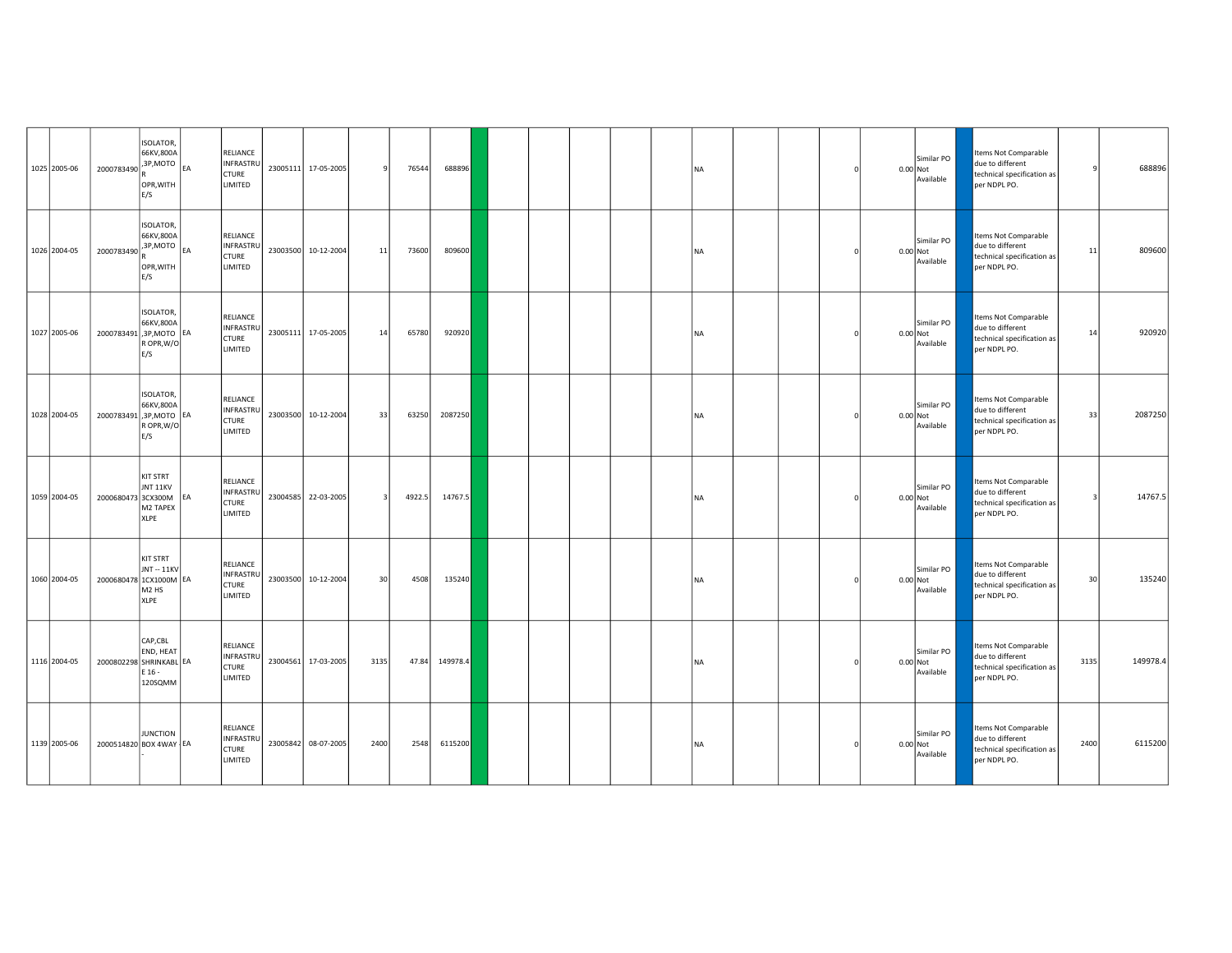| 1025 2005-06 | 2000783490 3P, MOTO     | ISOLATOR,<br>66KV,800A<br>OPR, WITH<br>E/S                              |    | RELIANCE<br>INFRASTRU<br><b>CTURE</b><br><b>LIMITED</b> | 23005111 17-05-2005 |      | 76544  | 688896   |  |  | <b>NA</b> |  |  | Similar PO<br>$0.00$ Not<br>Available | due to different<br>per NDPL PO. | Items Not Comparable<br>technical specification as                     |      | 688896   |
|--------------|-------------------------|-------------------------------------------------------------------------|----|---------------------------------------------------------|---------------------|------|--------|----------|--|--|-----------|--|--|---------------------------------------|----------------------------------|------------------------------------------------------------------------|------|----------|
| 1026 2004-05 | 2000783490 3P, MOTO     | ISOLATOR,<br>66KV,800A<br>OPR, WITH<br>E/S                              |    | RELIANCE<br><b>INFRASTRU</b><br><b>CTURE</b><br>LIMITED | 23003500 10-12-2004 | 11   | 73600  | 809600   |  |  | <b>NA</b> |  |  | Similar PO<br>0.00 Not<br>Available   | due to different<br>per NDPL PO. | Items Not Comparable<br>technical specification as                     | 11   | 809600   |
| 1027 2005-06 | 2000783491,3P,MOTO EA   | ISOLATOR,<br>66KV,800A<br>R OPR, W/O<br>E/S                             |    | RELIANCE<br><b>INFRASTRU</b><br><b>CTURE</b><br>LIMITED | 23005111 17-05-2005 | 14   | 65780  | 920920   |  |  | <b>NA</b> |  |  | Similar PO<br>$0.00$ Not<br>Available | per NDPL PO.                     | Items Not Comparable<br>due to different<br>technical specification as | 14   | 920920   |
| 1028 2004-05 | 2000783491,3P, MOTO EA  | <b>ISOLATOR,</b><br>66KV,800A<br>R OPR, W/O<br>E/S                      |    | RELIANCE<br>INFRASTRU<br><b>CTURE</b><br>LIMITED        | 23003500 10-12-2004 | 33   | 63250  | 2087250  |  |  | <b>NA</b> |  |  | Similar PO<br>$0.00$ Not<br>Available | due to different<br>per NDPL PO. | Items Not Comparable<br>technical specification as                     | 33   | 2087250  |
| 1059 2004-05 | 2000680473 3CX300M      | KIT STRT<br>JNT 11KV<br>M2 TAPEX<br>XLPE                                | EA | RELIANCE<br>INFRASTRU<br><b>CTURE</b><br>LIMITED        | 23004585 22-03-2005 |      | 4922.5 | 14767.5  |  |  | <b>NA</b> |  |  | Similar PO<br>$0.00$ Not<br>Available | per NDPL PO.                     | Items Not Comparable<br>due to different<br>technical specification as |      | 14767.5  |
| 1060 2004-05 | 2000680478 1CX1000M EA  | KIT STRT<br><b>JNT -- 11KV</b><br>M <sub>2</sub> H <sub>S</sub><br>XLPE |    | RELIANCE<br>INFRASTRU<br><b>CTURE</b><br>LIMITED        | 23003500 10-12-2004 | 30   | 4508   | 135240   |  |  | <b>NA</b> |  |  | Similar PO<br>$0.00$ Not<br>Available | due to different<br>per NDPL PO. | Items Not Comparable<br>technical specification as                     | 30   | 135240   |
| 1116 2004-05 | 2000802298 SHRINKABL EA | CAP,CBL<br>END, HEAT<br>E 16 -<br>120SQMM                               |    | RELIANCE<br>INFRASTRU<br><b>CTURE</b><br>LIMITED        | 23004561 17-03-2005 | 3135 | 47.84  | 149978.4 |  |  | <b>NA</b> |  |  | Similar PO<br>0.00 Not<br>Available   | due to different<br>per NDPL PO. | Items Not Comparable<br>technical specification as                     | 3135 | 149978.4 |
| 1139 2005-06 | 2000514820 BOX 4WAY EA  | <b>JUNCTION</b>                                                         |    | RELIANCE<br>INFRASTRU<br><b>CTURE</b><br>LIMITED        | 23005842 08-07-2005 | 2400 | 2548   | 6115200  |  |  | <b>NA</b> |  |  | Similar PO<br>0.00 Not<br>Available   | due to different<br>per NDPL PO. | Items Not Comparable<br>technical specification as                     | 2400 | 6115200  |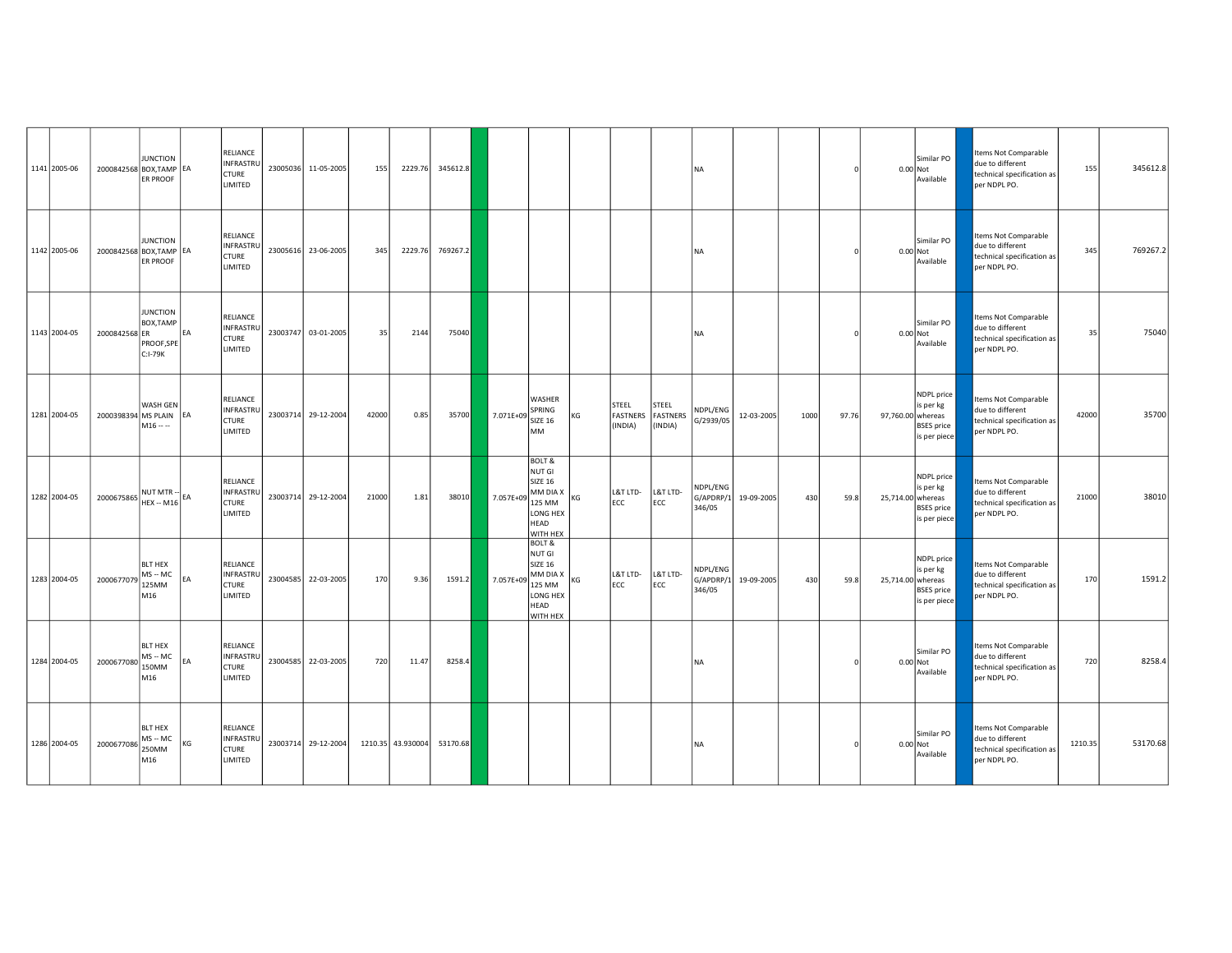| 1141 2005-06 | 2000842568 BOX, TAMP EA | <b>JUNCTION</b><br>ER PROOF                           |           | RELIANCE<br>INFRASTRU<br><b>CTURE</b><br>LIMITED        | 23005036 11-05-2005 | 155   | 2229.76           | 345612.8 |           |                                                                                                     |    |                                     |                                     | <b>NA</b>                       |            |      |       |                   | Similar PO<br>0.00 Not<br>Available                          | Items Not Comparable<br>due to different<br>technical specification as<br>per NDPL PO. | 155     | 345612.8 |
|--------------|-------------------------|-------------------------------------------------------|-----------|---------------------------------------------------------|---------------------|-------|-------------------|----------|-----------|-----------------------------------------------------------------------------------------------------|----|-------------------------------------|-------------------------------------|---------------------------------|------------|------|-------|-------------------|--------------------------------------------------------------|----------------------------------------------------------------------------------------|---------|----------|
| 1142 2005-06 | 2000842568 BOX, TAMP EA | <b>JUNCTION</b><br>ER PROOF                           |           | RELIANCE<br>INFRASTRU<br><b>CTURE</b><br>LIMITED        | 23005616 23-06-2005 | 345   | 2229.76           | 769267.2 |           |                                                                                                     |    |                                     |                                     | <b>NA</b>                       |            |      |       |                   | Similar PO<br>0.00 Not<br>Available                          | tems Not Comparable<br>due to different<br>technical specification as<br>per NDPL PO.  | 345     | 769267.2 |
| 1143 2004-05 | 2000842568 ER           | <b>JUNCTION</b><br>BOX, TAMP<br>PROOF, SPE<br>C:I-79K | <b>FA</b> | RELIANCE<br>INFRASTRU<br><b>CTURE</b><br>LIMITED        | 23003747 03-01-2005 | 35    | 2144              | 75040    |           |                                                                                                     |    |                                     |                                     | <b>NA</b>                       |            |      |       |                   | Similar PO<br>0.00 Not<br>Available                          | tems Not Comparable<br>due to different<br>technical specification as<br>per NDPL PO.  | 35      | 75040    |
| 1281 2004-05 | 2000398394 MS PLAIN EA  | WASH GEN<br>$M16 - -$                                 |           | RELIANCE<br><b>INFRASTRL</b><br><b>CTURE</b><br>LIMITED | 23003714 29-12-2004 | 42000 | 0.85              | 35700    | 7.071E+09 | WASHER<br>SPRING<br><b>SIZE 16</b><br><b>MM</b>                                                     | КG | STEEL<br><b>FASTNERS</b><br>(INDIA) | STEEL<br><b>FASTNERS</b><br>(INDIA) | NDPL/ENG<br>G/2939/05           | 12-03-2005 | 1000 | 97.76 | 97,760.00 whereas | NDPL price<br>is per kg<br><b>BSES</b> price<br>is per piece | Items Not Comparable<br>due to different<br>technical specification as<br>per NDPL PO. | 42000   | 35700    |
| 1282 2004-05 | 2000675865              | NUT MTR --<br>HEX -- M16 EA                           |           | RELIANCE<br>INFRASTRI<br><b>CTURE</b><br>LIMITED        | 23003714 29-12-2004 | 21000 | 1.81              | 38010    | 7.057E+09 | <b>BOLT &amp;</b><br>NUT GI<br><b>SIZE 16</b><br>MM DIA X<br>125 MM<br>LONG HEX<br>HEAD<br>WITH HEX | KG | L&T LTD-<br>ECC                     | L&T LTD-<br>ECC                     | NDPL/ENG<br>G/APDRP/1<br>346/05 | 19-09-2005 | 430  | 59.8  | 25,714.00 whereas | NDPL price<br>is per kg<br><b>BSES</b> price<br>is per piece | Items Not Comparable<br>due to different<br>technical specification as<br>per NDPL PO. | 21000   | 38010    |
| 1283 2004-05 | 2000677079              | <b>BLT HEX</b><br>$MS - MC$<br>125MM<br>M16           | FA        | RELIANCE<br>INFRASTRI<br><b>CTURE</b><br>LIMITED        | 23004585 22-03-2005 | 170   | 9.36              | 1591.2   | 7.057E+09 | <b>BOLT &amp;</b><br>NUT GI<br><b>SIZE 16</b><br>MM DIA X<br>125 MM<br>LONG HEX<br>HEAD<br>WITH HEX | KG | L&T LTD-<br>ECC                     | L&T LTD-<br>ECC                     | NDPL/ENG<br>G/APDRP/1<br>346/05 | 19-09-2005 | 430  | 59.8  | 25,714.00 whereas | NDPL price<br>is per kg<br><b>BSES</b> price<br>is per piece | Items Not Comparable<br>due to different<br>technical specification as<br>per NDPL PO. | 170     | 1591.2   |
| 1284 2004-05 | 2000677080              | <b>BLT HEX</b><br>$MS - MC$<br>150MM<br>M16           | EA        | RELIANCE<br><b>INFRASTRU</b><br><b>CTURE</b><br>LIMITED | 23004585 22-03-2005 | 720   | 11.47             | 8258.4   |           |                                                                                                     |    |                                     |                                     | <b>NA</b>                       |            |      |       |                   | Similar PO<br>$0.00$ Not<br>Available                        | Items Not Comparable<br>due to different<br>technical specification as<br>per NDPL PO. | 720     | 8258.4   |
| 1286 2004-05 | 2000677086              | BLT HEX<br>$MS - MC$<br>250MM<br>M16                  | KG        | RELIANCE<br>INFRASTRU<br><b>CTURE</b><br>LIMITED        | 23003714 29-12-2004 |       | 1210.35 43.930004 | 53170.68 |           |                                                                                                     |    |                                     |                                     | <b>NA</b>                       |            |      |       |                   | Similar PO<br>0.00 Not<br>Available                          | Items Not Comparable<br>due to different<br>technical specification as<br>per NDPL PO. | 1210.35 | 53170.68 |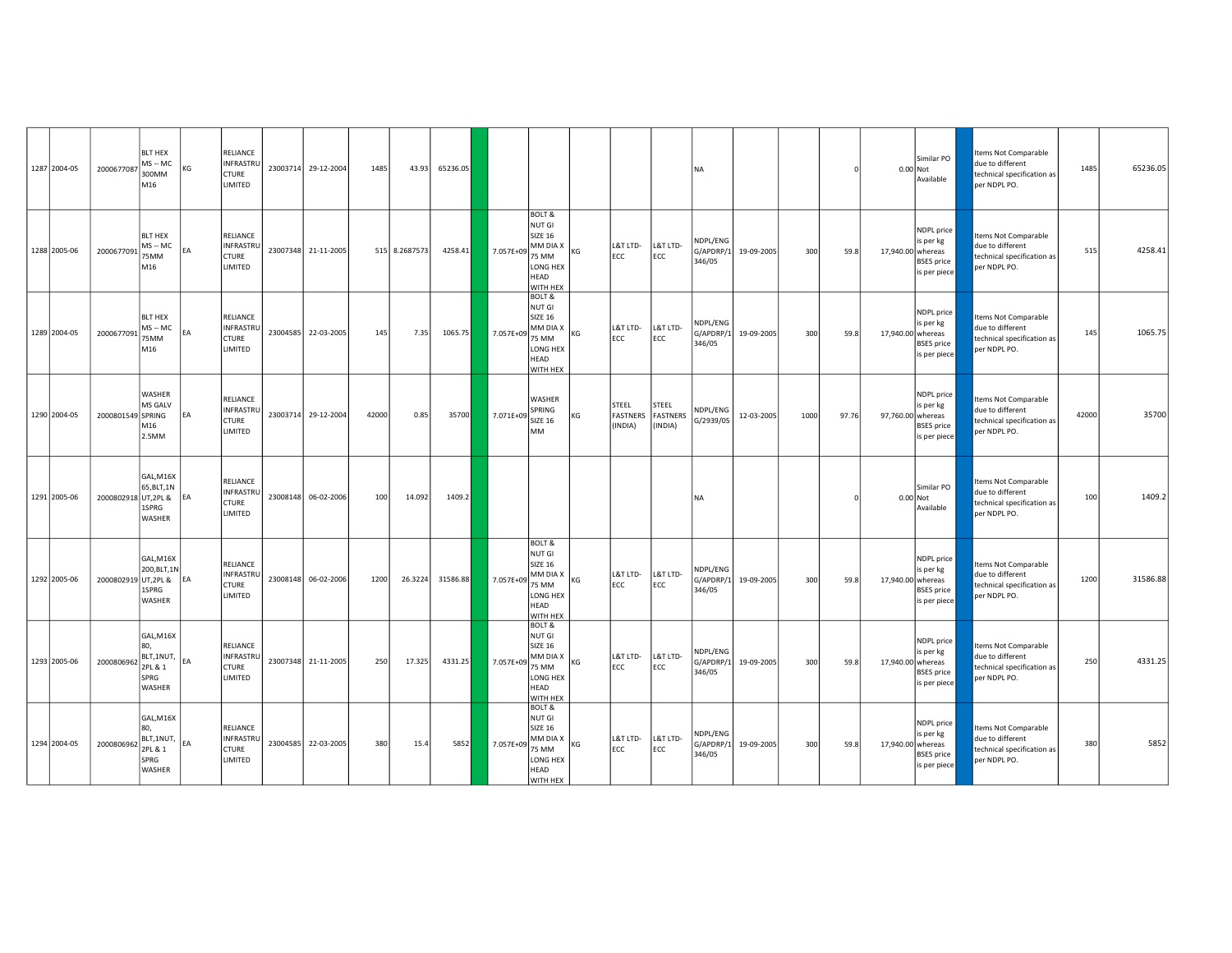| 1287 2004-05 | 2000677087              | <b>BLT HEX</b><br>$MS - MC$<br>300MM<br>M16                   | ΚG        | RELIANCE<br><b>INFRASTRU</b><br><b>CTURE</b><br>LIMITED |          | 23003714 29-12-2004 | 1485  | 43.93         | 65236.05 |           |                                                                                                                             |    |                                     |                                     | <b>NA</b>                       |            |      |       | 0.00 Not          | Similar PO<br>Available                                      | Items Not Comparable<br>due to different<br>technical specification as<br>per NDPL PO.        | 1485  | 65236.05 |
|--------------|-------------------------|---------------------------------------------------------------|-----------|---------------------------------------------------------|----------|---------------------|-------|---------------|----------|-----------|-----------------------------------------------------------------------------------------------------------------------------|----|-------------------------------------|-------------------------------------|---------------------------------|------------|------|-------|-------------------|--------------------------------------------------------------|-----------------------------------------------------------------------------------------------|-------|----------|
| 1288 2005-06 | 2000677091              | <b>BLT HEX</b><br>$MS - MC$<br>75MM<br>M16                    | EA        | RELIANCE<br>INFRASTRU<br><b>CTURE</b><br>LIMITED        |          | 23007348 21-11-2005 |       | 515 8.2687573 | 4258.41  | 7.057E+09 | BOLT &<br>NUT GI<br><b>SIZE 16</b><br>MM DIA X<br>75 MM<br>LONG HEX<br>HEAD<br>WITH HEX                                     | KG | L&T LTD-<br>ECC                     | L&T LTD-<br><b>ECC</b>              | NDPL/ENG<br>G/APDRP/1<br>346/05 | 19-09-2005 | 300  | 59.8  | 17,940.00 whereas | NDPL price<br>is per kg<br><b>BSES</b> price<br>is per piece | Items Not Comparable<br>due to different<br>technical specification as<br>per NDPL PO.        | 515   | 4258.41  |
| 1289 2004-05 | 2000677091              | <b>BLT HEX</b><br>$MS - MC$<br>75MM<br>M16                    | EA        | RELIANCE<br>INFRASTRU<br><b>CTURE</b><br>LIMITED        |          | 23004585 22-03-2005 | 145   | 7.35          | 1065.75  | 7.057E+09 | <b>BOLT &amp;</b><br>NUT GI<br><b>SIZE 16</b><br>$M$ MM DIA X $\left _{KG}\right $<br>75 MM<br>LONG HEX<br>HEAD<br>WITH HEX |    | L&T LTD-<br>ECC                     | L&T LTD-<br>ECC                     | NDPL/ENG<br>G/APDRP/1<br>346/05 | 19-09-2005 | 300  | 59.8  | 17,940.00 whereas | NDPL price<br>is per kg<br><b>BSES</b> price<br>is per piece | <b>Items Not Comparable</b><br>due to different<br>technical specification as<br>per NDPL PO. | 145   | 1065.75  |
| 1290 2004-05 | 2000801549 SPRING       | <b>WASHER</b><br>MS GALV<br>M16<br>2.5MM                      | <b>FA</b> | RELIANCE<br>INFRASTRU<br><b>CTURE</b><br>LIMITED        |          | 23003714 29-12-2004 | 42000 | 0.85          | 35700    | 7.071E+09 | WASHER<br>SPRING<br><b>SIZE 16</b><br><b>MM</b>                                                                             | KG | STEEL<br><b>FASTNERS</b><br>(INDIA) | STEEL<br><b>FASTNERS</b><br>(INDIA) | NDPL/ENG<br>G/2939/05           | 12-03-2005 | 1000 | 97.76 | 97,760.00 whereas | NDPL price<br>is per kg<br><b>BSES</b> price<br>is per piece | Items Not Comparable<br>due to different<br>technical specification as<br>per NDPL PO.        | 42000 | 35700    |
| 1291 2005-06 | 2000802918 UT, 2PL &    | GAL, M16X<br>65, BLT, 1N<br>1SPRG<br>WASHER                   |           | RELIANCE<br>INFRASTRU<br><b>CTURE</b><br>LIMITED        |          | 23008148 06-02-2006 | 100   | 14.092        | 1409.2   |           |                                                                                                                             |    |                                     |                                     | <b>NA</b>                       |            |      |       | 0.00 Not          | Similar PO<br>Available                                      | tems Not Comparable<br>due to different<br>technical specification as<br>per NDPL PO.         | 100   | 1409.2   |
| 1292 2005-06 | 2000802919 UT, 2PL & EA | GAL, M16X<br>200, BLT, 1N<br>1SPRG<br>WASHER                  |           | RELIANCE<br>INFRASTRU<br>CTURE<br>LIMITED               |          | 23008148 06-02-2006 | 1200  | 26.3224       | 31586.88 | 7.057E+09 | BOLT &<br>NUT GI<br><b>SIZE 16</b><br>$M = N$<br>75 MM<br>LONG HEX<br>HEAD<br>WITH HEX                                      |    | L&T LTD-<br>ECC                     | L&T LTD-<br>ECC                     | NDPL/ENG<br>G/APDRP/1<br>346/05 | 19-09-2005 | 300  | 59.8  | 17,940.00 whereas | NDPL price<br>is per kg<br><b>BSES</b> price<br>is per piece | Items Not Comparable<br>due to different<br>technical specification as<br>per NDPL PO.        | 1200  | 31586.88 |
| 1293 2005-06 | 2000806962              | GAL, M16X<br>80,<br>BLT, 1NUT,<br>2PL & 1<br>SPRG<br>WASHER   |           | RELIANCE<br>INFRASTRU<br><b>CTURE</b><br>LIMITED        |          | 23007348 21-11-2005 | 250   | 17.325        | 4331.25  | 7.057E+09 | <b>BOLT &amp;</b><br>NUT GI<br><b>SIZE 16</b><br>MM DIA X<br>75 MM<br>LONG HEX<br>HEAD<br>WITH HEX                          | KG | L&T LTD-<br>ECC                     | L&T LTD-<br>ECC                     | NDPL/ENG<br>G/APDRP/1<br>346/05 | 19-09-2005 | 300  | 59.8  | 17,940.00 whereas | NDPL price<br>is per kg<br><b>BSES</b> price<br>is per piece | Items Not Comparable<br>due to different<br>technical specification as<br>per NDPL PO.        | 250   | 4331.25  |
| 1294 2004-05 | 2000806962              | GAL, M16X<br>80.<br>BLT,1NUT, EA<br>2PL & 1<br>SPRG<br>WASHER |           | RELIANCE<br>INFRASTRU<br><b>CTURE</b><br>LIMITED        | 23004585 | 22-03-2005          | 380   | 15.4          | 5852     | 7.057E+09 | <b>BOLT &amp;</b><br>NUT GI<br><b>SIZE 16</b><br>MM DIA X<br>75 MM<br>LONG HEX<br>HEAD<br>WITH HEX                          | KG | L&T LTD-<br>ECC                     | L&T LTD-<br>ECC                     | NDPL/ENG<br>G/APDRP/1<br>346/05 | 19-09-2005 | 300  | 59.8  | 17,940.00 whereas | NDPL price<br>is per kg<br><b>BSES</b> price<br>is per piece | <b>Items Not Comparable</b><br>due to different<br>technical specification as<br>per NDPL PO. | 380   | 5852     |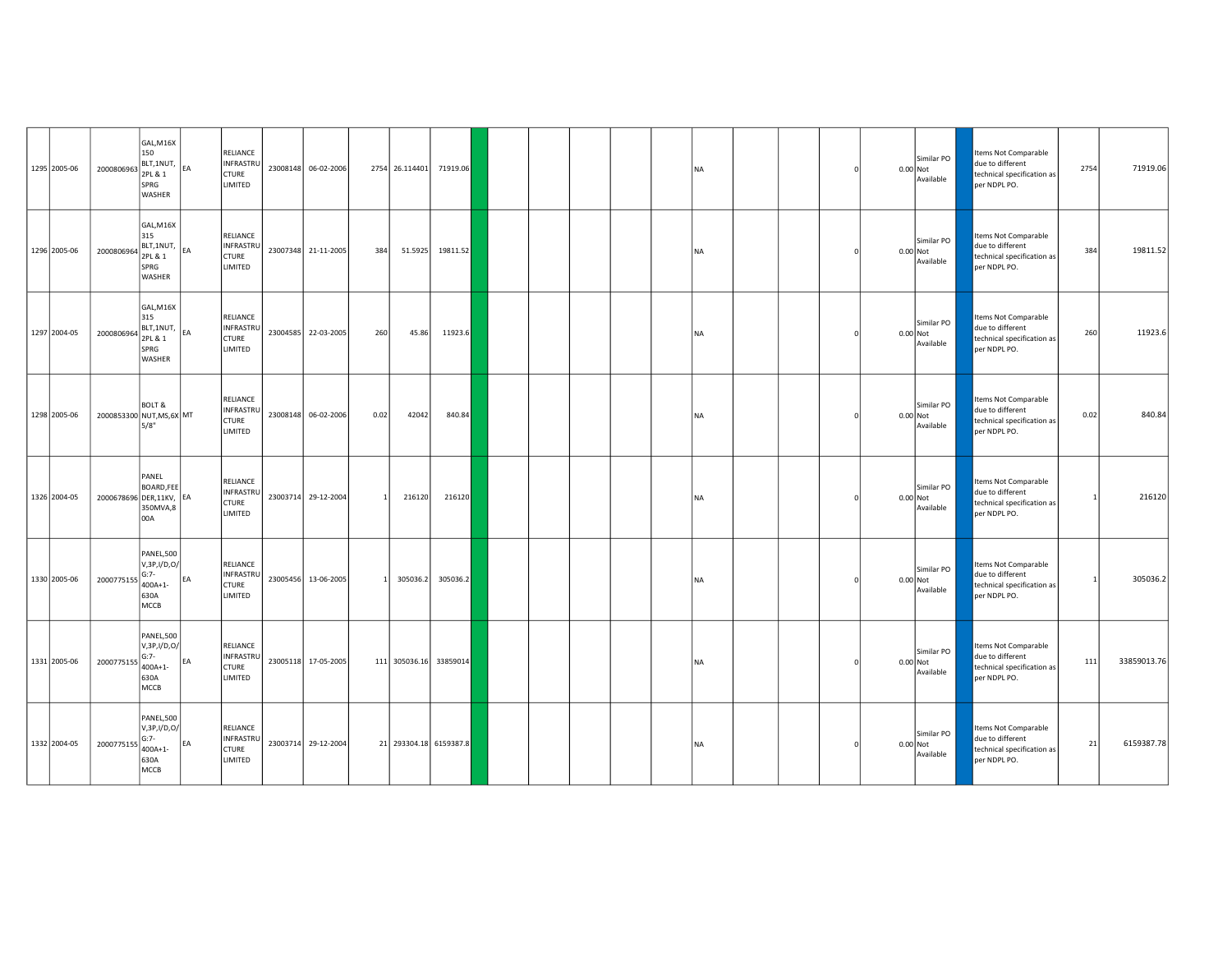| 1295 2005-06 | 2000806963                | GAL, M16X<br>150<br>BLT, 1NUT, EA<br>2PL & 1<br>SPRG<br>WASHER   |           | RELIANCE<br>INFRASTRU<br><b>CTURE</b><br>LIMITED        | 23008148 06-02-2006 |      | 2754 26.114401         | 71919.06 |  |  | <b>NA</b> |  |          | Similar PO<br>$0.00$ Not<br>Available | Items Not Comparable<br>due to different<br>technical specification as<br>per NDPL PO. | 2754 | 71919.06    |
|--------------|---------------------------|------------------------------------------------------------------|-----------|---------------------------------------------------------|---------------------|------|------------------------|----------|--|--|-----------|--|----------|---------------------------------------|----------------------------------------------------------------------------------------|------|-------------|
| 1296 2005-06 | 2000806964                | GAL, M16X<br>315<br>BLT,1NUT, EA<br>2PL & 1<br>SPRG<br>WASHER    |           | RELIANCE<br><b>INFRASTRU</b><br><b>CTURE</b><br>LIMITED | 23007348 21-11-2005 | 384  | 51.5925                | 19811.52 |  |  | <b>NA</b> |  | 0.00 Not | Similar PO<br>Available               | tems Not Comparable<br>due to different<br>technical specification as<br>per NDPL PO.  | 384  | 19811.52    |
| 1297 2004-05 | 2000806964                | GAL, M16X<br>315<br>BLT,1NUT, EA<br>2PL & 1<br>SPRG<br>WASHER    |           | RELIANCE<br><b>INFRASTRU</b><br><b>CTURE</b><br>LIMITED | 23004585 22-03-2005 | 260  | 45.86                  | 11923.6  |  |  | <b>NA</b> |  | 0.00 Not | Similar PO<br>Available               | Items Not Comparable<br>due to different<br>technical specification as<br>per NDPL PO. | 260  | 11923.6     |
| 1298 2005-06 | 2000853300 NUT, MS, 6X MT | <b>BOLT &amp;</b><br>5/8"                                        |           | RELIANCE<br><b>INFRASTRU</b><br><b>CTURE</b><br>LIMITED | 23008148 06-02-2006 | 0.02 | 42042                  | 840.84   |  |  | <b>NA</b> |  | 0.00 Not | Similar PO<br>Available               | Items Not Comparable<br>due to different<br>technical specification as<br>per NDPL PO. | 0.02 | 840.84      |
| 1326 2004-05 | 2000678696 DER,11KV, EA   | PANEL<br>BOARD, FEE<br>350MVA,8<br>00A                           |           | RELIANCE<br>INFRASTRU<br>CTURE<br>LIMITED               | 23003714 29-12-2004 |      | 216120                 | 216120   |  |  | <b>NA</b> |  | 0.00 Not | Similar PO<br>Available               | Items Not Comparable<br>due to different<br>technical specification as<br>per NDPL PO. |      | 216120      |
| 1330 2005-06 | 2000775155                | PANEL,500<br>V, 3P, I/D, O/<br>$G:7-$<br>400A+1-<br>630A<br>MCCB | <b>EA</b> | RELIANCE<br><b>INFRASTRU</b><br>CTURE<br>LIMITED        | 23005456 13-06-2005 |      | 305036.2               | 305036.2 |  |  | <b>NA</b> |  | 0.00 Not | Similar PO<br>Available               | Items Not Comparable<br>due to different<br>technical specification as<br>per NDPL PO. |      | 305036.2    |
| 1331 2005-06 | 2000775155                | PANEL,500<br>V, 3P, I/D, O/<br>$G:7-$<br>400A+1-<br>630A<br>MCCB | EA        | RELIANCE<br><b>INFRASTRU</b><br><b>CTURE</b><br>LIMITED | 23005118 17-05-2005 |      | 111 305036.16          | 33859014 |  |  | <b>NA</b> |  |          | Similar PO<br>$0.00$ Not<br>Available | Items Not Comparable<br>due to different<br>technical specification as<br>per NDPL PO. | 111  | 33859013.76 |
| 1332 2004-05 | 2000775155                | PANEL,500<br>V, 3P, I/D, O/<br>$G:7-$<br>400A+1-<br>630A<br>MCCB | EA        | RELIANCE<br>INFRASTRU<br><b>CTURE</b><br>LIMITED        | 23003714 29-12-2004 |      | 21 293304.18 6159387.8 |          |  |  | <b>NA</b> |  | 0.00 Not | Similar PO<br>Available               | Items Not Comparable<br>due to different<br>technical specification as<br>per NDPL PO. | 21   | 6159387.78  |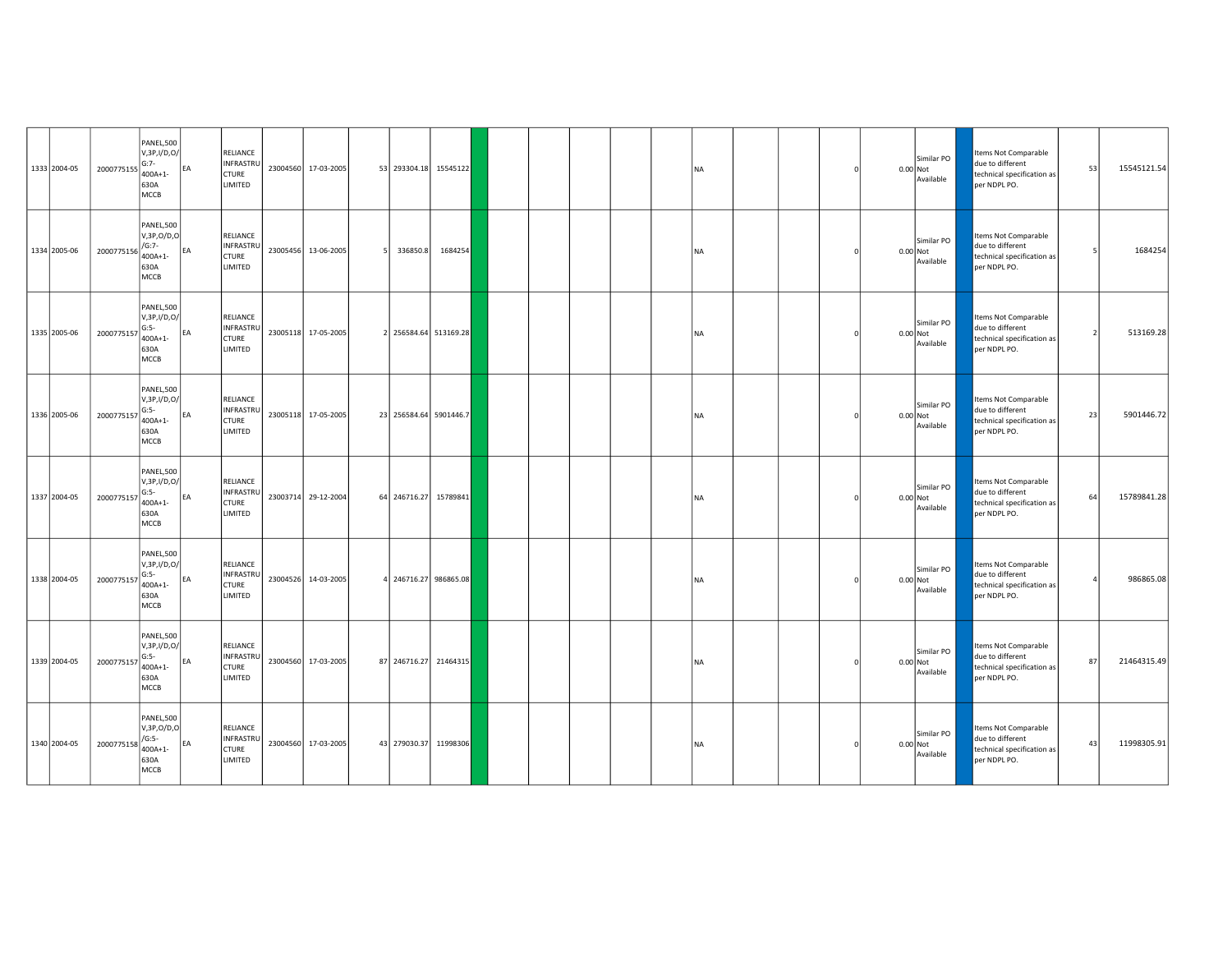| 1333 2004-05 | 2000775155 | PANEL,500<br>V, 3P, I/D, O/<br>$G:7-$<br>400A+1-<br>630A<br>MCCB             | EA        | <b>RELIANCE</b><br><b>INFRASTRU</b><br><b>CTURE</b><br><b>LIMITED</b> | 23004560 17-03-2005 |          | 53 293304.18 15545122  |  |  | <b>NA</b> |  |  | Similar PO<br>0.00 Not<br>Available   | Items Not Comparable<br>due to different<br>technical specification as<br>per NDPL PO. | 53 | 15545121.54 |
|--------------|------------|------------------------------------------------------------------------------|-----------|-----------------------------------------------------------------------|---------------------|----------|------------------------|--|--|-----------|--|--|---------------------------------------|----------------------------------------------------------------------------------------|----|-------------|
| 1334 2005-06 | 2000775156 | PANEL,500<br>V, 3P, O/D, O<br>$/G:7-$<br>$400A + 1 -$<br>630A<br>MCCB        | <b>EA</b> | RELIANCE<br>INFRASTRU<br><b>CTURE</b><br>LIMITED                      | 23005456 13-06-2005 | 336850.8 | 1684254                |  |  | <b>NA</b> |  |  | Similar PO<br>0.00 Not<br>Available   | Items Not Comparable<br>due to different<br>technical specification as<br>per NDPL PO. |    | 1684254     |
| 1335 2005-06 | 2000775157 | PANEL,500<br>V, 3P, I/D, O/<br>$G:5-$<br>$400A + 1 -$<br>630A<br>MCCB        | EA        | <b>RELIANCE</b><br>INFRASTRU<br><b>CTURE</b><br>LIMITED               | 23005118 17-05-2005 |          | 2 256584.64 513169.28  |  |  | <b>NA</b> |  |  | Similar PO<br>$0.00$ Not<br>Available | Items Not Comparable<br>due to different<br>technical specification as<br>per NDPL PO. |    | 513169.28   |
| 1336 2005-06 | 2000775157 | PANEL,500<br>V, 3P, I/D, O/<br>$G:5-$<br>$400A + 1 -$<br>630A<br>MCCB        | FA        | RELIANCE<br><b>INFRASTRL</b><br><b>CTURE</b><br>LIMITED               | 23005118 17-05-2005 |          | 23 256584.64 5901446.7 |  |  | <b>NA</b> |  |  | Similar PO<br>$0.00$ Not<br>Available | Items Not Comparable<br>due to different<br>technical specification as<br>per NDPL PO. | 23 | 5901446.72  |
| 1337 2004-05 | 2000775157 | PANEL,500<br>V, 3P, I/D, O/<br>$G:5-$<br>$400A + 1 -$<br>630A<br>MCCB        | EA        | RELIANCE<br>INFRASTRI<br><b>CTURE</b><br><b>LIMITED</b>               | 23003714 29-12-2004 |          | 64 246716.27 15789841  |  |  | <b>NA</b> |  |  | Similar PO<br>0.00 Not<br>Available   | Items Not Comparable<br>due to different<br>technical specification as<br>per NDPL PO. | 64 | 15789841.28 |
| 1338 2004-05 | 2000775157 | PANEL,500<br>V, 3P, I/D, O/<br>$G:5-$<br>$400A + 1 -$<br>630A<br>MCCB        | FA        | RELIANCE<br><b>INFRASTRU</b><br><b>CTURE</b><br>LIMITED               | 23004526 14-03-2005 |          | 4 246716.27 986865.08  |  |  | <b>NA</b> |  |  | Similar PO<br>0.00 Not<br>Available   | Items Not Comparable<br>due to different<br>technical specification as<br>per NDPL PO. |    | 986865.08   |
| 1339 2004-05 | 2000775157 | <b>PANEL,500</b><br>V,3P,I/D,0/<br>$G:5-$<br>400A+1-<br>630A<br>MCCB         | FA        | RELIANCE<br>INFRASTRU<br><b>CTURE</b><br>LIMITED                      | 23004560 17-03-2005 |          | 87 246716.27 21464315  |  |  | <b>NA</b> |  |  | Similar PO<br>$0.00$ Not<br>Available | Items Not Comparable<br>due to different<br>technical specification as<br>per NDPL PO. | 87 | 21464315.49 |
| 1340 2004-05 | 2000775158 | <b>PANEL,500</b><br>V, 3P, O/D, O<br>$/G:5-$<br>$400A + 1 -$<br>630A<br>MCCB | EA        | RELIANCE<br>INFRASTRI<br><b>CTURE</b><br>LIMITED                      | 23004560 17-03-2005 |          | 43 279030.37 11998306  |  |  | <b>NA</b> |  |  | Similar PO<br>0.00 Not<br>Available   | Items Not Comparable<br>due to different<br>technical specification as<br>per NDPL PO. | 43 | 11998305.91 |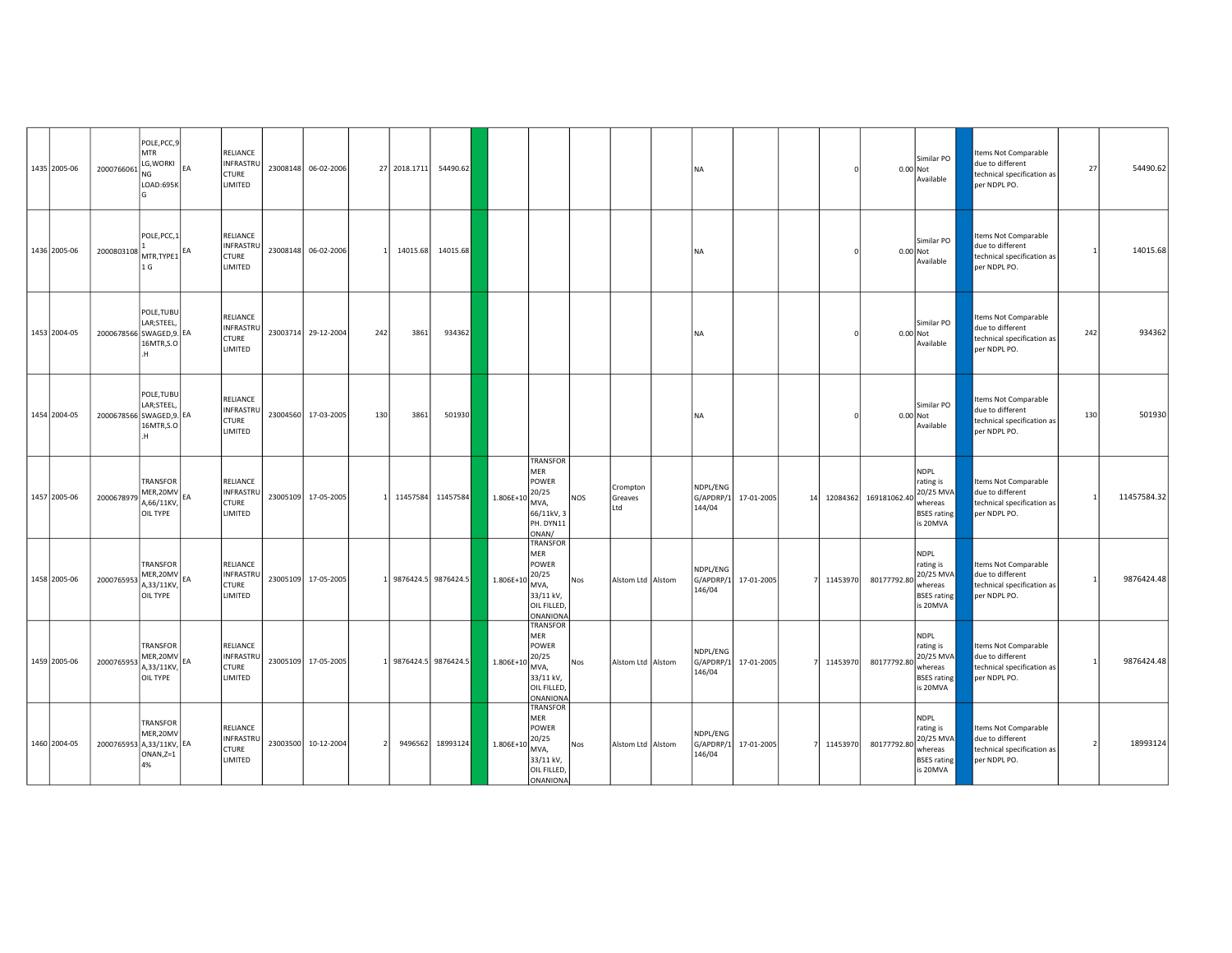| 1435 2005-06 | 2000766061               | POLE, PCC, 9<br><b>MTR</b><br>LG, WORKI<br>NG<br>LOAD:695K | RELIANCE<br><b>INFRASTRU</b><br><b>CTURE</b><br>LIMITED               |          | 23008148 06-02-2006 |     | 27 2018.1711 | 54490.62              |               |                                                                                          |            |                            | <b>NA</b>                       |            |    |          |                       | Similar PO<br>0.00 Not<br>Available                                                | Items Not Comparable<br>due to different<br>technical specification as<br>per NDPL PO. | 27  | 54490.62    |
|--------------|--------------------------|------------------------------------------------------------|-----------------------------------------------------------------------|----------|---------------------|-----|--------------|-----------------------|---------------|------------------------------------------------------------------------------------------|------------|----------------------------|---------------------------------|------------|----|----------|-----------------------|------------------------------------------------------------------------------------|----------------------------------------------------------------------------------------|-----|-------------|
| 1436 2005-06 | 2000803108               | POLE, PCC, 1<br>$MTR, TYPE1$ <sup>EA</sup><br>1 G          | RELIANCE<br>INFRASTRU<br><b>CTURE</b><br><b>LIMITED</b>               | 23008148 | 06-02-2006          |     | 14015.68     | 14015.68              |               |                                                                                          |            |                            | <b>NA</b>                       |            |    |          |                       | Similar PO<br>0.00 Not<br>Available                                                | Items Not Comparable<br>due to different<br>technical specification as<br>per NDPL PO. |     | 14015.68    |
| 1453 2004-05 | 2000678566 SWAGED, 9. EA | POLE, TUBU<br>LAR;STEEL,<br>16MTR, S.O<br>H                | RELIANCE<br>INFRASTRI<br><b>CTURE</b><br>LIMITED                      |          | 23003714 29-12-2004 | 242 | 3861         | 934362                |               |                                                                                          |            |                            | <b>NA</b>                       |            |    |          |                       | Similar PO<br>0.00 Not<br>Available                                                | Items Not Comparable<br>due to different<br>technical specification as<br>per NDPL PO. | 242 | 934362      |
| 1454 2004-05 | 2000678566 SWAGED, 9. EA | POLE, TUBU<br>LAR;STEEL,<br>16MTR, S.O<br>H                | <b>RELIANCE</b><br><b>INFRASTRU</b><br><b>CTURE</b><br><b>LIMITED</b> |          | 23004560 17-03-2005 | 130 | 3861         | 501930                |               |                                                                                          |            |                            | <b>NA</b>                       |            |    |          |                       | Similar PO<br>0.00 Not<br>Available                                                | Items Not Comparable<br>due to different<br>technical specification as<br>per NDPL PO. | 130 | 501930      |
| 1457 2005-06 | 2000678979               | TRANSFOR<br>MER, 20MV EA<br>A,66/11KV,<br>OIL TYPE         | RELIANCE<br><b>INFRASTRU</b><br><b>CTURE</b><br>LIMITED               |          | 23005109 17-05-2005 |     |              | 11457584 11457584     | $1.806E+10$   | <b>TRANSFOR</b><br>MER<br>POWER<br>20/25<br>MVA,<br>66/11kV, 3<br>PH. DYN11<br>ONAN/     | <b>NOS</b> | Crompton<br>Greaves<br>Ltd | NDPL/ENG<br>G/APDRP/1<br>144/04 | 17-01-2005 | 14 |          | 12084362 169181062.40 | <b>NDPL</b><br>rating is<br>20/25 MVA<br>whereas<br><b>BSES</b> rating<br>is 20MVA | Items Not Comparable<br>due to different<br>technical specification as<br>per NDPL PO. |     | 11457584.32 |
| 1458 2005-06 | 2000765953               | TRANSFOR<br>MER,20MV<br>A,33/11KV,<br>OIL TYPE             | RELIANCE<br>INFRASTRI<br><b>CTURE</b><br>LIMITED                      |          | 23005109 17-05-2005 |     |              | 9876424.5 9876424.5   | $1.806E + 10$ | <b>TRANSFOR</b><br>MER<br>POWER<br>20/25<br>MVA,<br>33/11 kV,<br>OIL FILLED,<br>ONANIONA | Nos        | Alstom Ltd Alstom          | NDPL/ENG<br>G/APDRP/1<br>146/04 | 17-01-2005 |    | 11453970 | 80177792.80           | <b>NDPL</b><br>rating is<br>20/25 MVA<br>whereas<br><b>BSES</b> rating<br>is 20MVA | Items Not Comparable<br>due to different<br>technical specification as<br>per NDPL PO. |     | 9876424.48  |
| 1459 2005-06 | 2000765953               | TRANSFOR<br>MER,20MV<br>4,33/11KV,<br>OIL TYPE             | RELIANCE<br>INFRASTRI<br><b>CTURE</b><br>LIMITED                      |          | 23005109 17-05-2005 |     |              | 1 9876424.5 9876424.5 | 1.806E+10     | <b>TRANSFOR</b><br>MER<br>POWER<br>20/25<br>MVA,<br>33/11 kV,<br>OIL FILLED<br>ONANIONA  | Nos        | Alstom Ltd   Alstom        | NDPL/ENG<br>G/APDRP/1<br>146/04 | 17-01-2005 |    | 11453970 | 80177792.80           | <b>NDPL</b><br>rating is<br>20/25 MVA<br>whereas<br><b>BSES</b> rating<br>is 20MVA | Items Not Comparable<br>due to different<br>technical specification as<br>per NDPL PO. |     | 9876424.48  |
| 1460 2004-05 | 2000765953 A,33/11KV, EA | TRANSFOR<br>MER,20MV<br>ONAN,Z=1<br>4%                     | <b>RELIANCE</b><br>INFRASTRI<br><b>CTURE</b><br>LIMITED               |          | 23003500 10-12-2004 |     | 9496562      | 18993124              | 1.806E+10     | <b>TRANSFOR</b><br>MER<br>POWER<br>20/25<br>MVA,<br>33/11 kV,<br>OIL FILLED<br>ONANIONA  | <b>Nos</b> | Alstom Ltd Alstom          | NDPL/ENG<br>G/APDRP/1<br>146/04 | 17-01-2005 |    | 11453970 | 80177792.80           | <b>NDPL</b><br>rating is<br>20/25 MVA<br>whereas<br><b>BSES</b> rating<br>is 20MVA | Items Not Comparable<br>due to different<br>technical specification as<br>per NDPL PO. |     | 18993124    |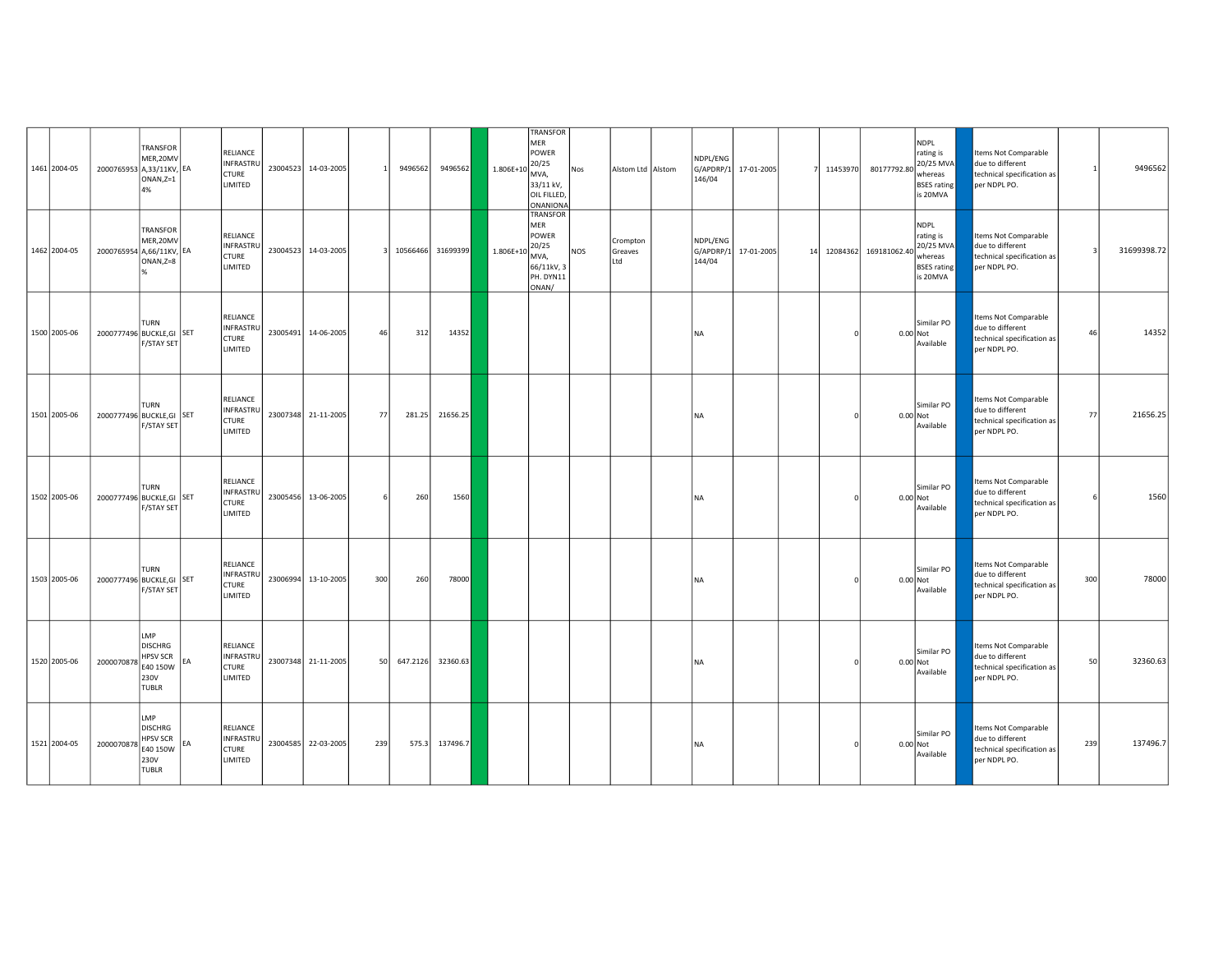| 1461 2004-05 | 2000765953 A,33/11KV, EA  | TRANSFOR<br>MER,20MV<br>$ONAN,Z=1$<br>4%                                            |    | RELIANCE<br>INFRASTRU<br><b>CTURE</b><br>LIMITED        |          | 23004523 14-03-2005 |     | 9496562  | 9496562  | 1.806E+10    | <b>TRANSFOR</b><br><b>MER</b><br>POWER<br>20/25<br>MVA,<br>33/11 kV,<br>OIL FILLED,<br>ONANIONA | Nos        | Alstom Ltd   Alstom        | NDPL/ENG<br>146/04              | G/APDRP/1 17-01-2005 |    | 11453970 | 80177792.80           | <b>NDPL</b><br>rating is<br>20/25 MVA<br>whereas<br><b>BSES</b> rating<br>is 20MVA | Items Not Comparable<br>due to different<br>technical specification as<br>per NDPL PO. |     | 9496562     |
|--------------|---------------------------|-------------------------------------------------------------------------------------|----|---------------------------------------------------------|----------|---------------------|-----|----------|----------|--------------|-------------------------------------------------------------------------------------------------|------------|----------------------------|---------------------------------|----------------------|----|----------|-----------------------|------------------------------------------------------------------------------------|----------------------------------------------------------------------------------------|-----|-------------|
| 1462 2004-05 | 2000765954 A,66/11KV, EA  | <b>TRANSFOR</b><br>MER,20MV<br>$ONAN,Z=8$                                           |    | RELIANCE<br>INFRASTRU<br><b>CTURE</b><br>LIMITED        |          | 23004523 14-03-2005 | 3   | 10566466 | 31699399 | $1.806E + 1$ | TRANSFOR<br>MER<br>POWER<br>20/25<br>MVA,<br>66/11kV, 3<br>PH. DYN11<br>ONAN/                   | <b>NOS</b> | Crompton<br>Greaves<br>Ltd | NDPL/ENG<br>G/APDRP/1<br>144/04 | 17-01-2005           | 14 |          | 12084362 169181062.40 | <b>NDPL</b><br>rating is<br>20/25 MVA<br>whereas<br><b>BSES</b> rating<br>is 20MVA | Items Not Comparable<br>due to different<br>technical specification as<br>per NDPL PO. | P   | 31699398.72 |
| 1500 2005-06 | 2000777496 BUCKLE, GI SET | TURN<br>F/STAY SET                                                                  |    | RELIANCE<br>INFRASTRU<br><b>CTURE</b><br>LIMITED        | 23005491 | 14-06-2005          | 46  | 312      | 14352    |              |                                                                                                 |            |                            | <b>NA</b>                       |                      |    |          | 0.00 Not              | Similar PO<br>Available                                                            | Items Not Comparable<br>due to different<br>technical specification as<br>per NDPL PO. | 46  | 14352       |
| 1501 2005-06 | 2000777496 BUCKLE, GI SET | <b>TURN</b><br>F/STAY SET                                                           |    | RELIANCE<br>INFRASTRU<br><b>CTURE</b><br>LIMITED        |          | 23007348 21-11-2005 | 77  | 281.25   | 21656.25 |              |                                                                                                 |            |                            | <b>NA</b>                       |                      |    |          | $0.00$ Not            | Similar PO<br>Available                                                            | Items Not Comparable<br>due to different<br>technical specification as<br>per NDPL PO. | 77  | 21656.25    |
| 1502 2005-06 | 2000777496 BUCKLE, GI SET | TURN<br>F/STAY SET                                                                  |    | RELIANCE<br>INFRASTRU<br><b>CTURE</b><br>LIMITED        |          | 23005456 13-06-2005 |     | 260      | 1560     |              |                                                                                                 |            |                            | <b>NA</b>                       |                      |    |          | 0.00 Not              | Similar PO<br>Available                                                            | Items Not Comparable<br>due to different<br>technical specification as<br>per NDPL PO. | 6   | 1560        |
| 1503 2005-06 | 2000777496 BUCKLE, GI SET | TURN<br>F/STAY SET                                                                  |    | RELIANCE<br><b>INFRASTRU</b><br><b>CTURE</b><br>LIMITED |          | 23006994 13-10-2005 | 300 | 260      | 78000    |              |                                                                                                 |            |                            | <b>NA</b>                       |                      |    |          | $0.00$ Not            | Similar PO<br>Available                                                            | Items Not Comparable<br>due to different<br>technical specification as<br>per NDPL PO. | 300 | 78000       |
| 1520 2005-06 | 2000070878                | <b>LMP</b><br><b>DISCHRG</b><br><b>HPSV SCR</b><br>E40 150W<br>230V<br><b>TUBLR</b> | EA | RELIANCE<br>INFRASTRU<br><b>CTURE</b><br>LIMITED        |          | 23007348 21-11-2005 | 50  | 647.2126 | 32360.63 |              |                                                                                                 |            |                            | <b>NA</b>                       |                      |    |          | 0.00 Not              | Similar PO<br>Available                                                            | Items Not Comparable<br>due to different<br>technical specification as<br>per NDPL PO. | 50  | 32360.63    |
| 1521 2004-05 | 2000070878                | LMP<br><b>DISCHRG</b><br><b>HPSV SCR</b><br>E40 150W<br>230V<br><b>TUBLR</b>        | EA | RELIANCE<br>INFRASTRU<br><b>CTURE</b><br>LIMITED        |          | 23004585 22-03-2005 | 239 | 575.3    | 137496.7 |              |                                                                                                 |            |                            | <b>NA</b>                       |                      |    |          | 0.00 Not              | Similar PO<br>Available                                                            | Items Not Comparable<br>due to different<br>technical specification as<br>per NDPL PO. | 239 | 137496.7    |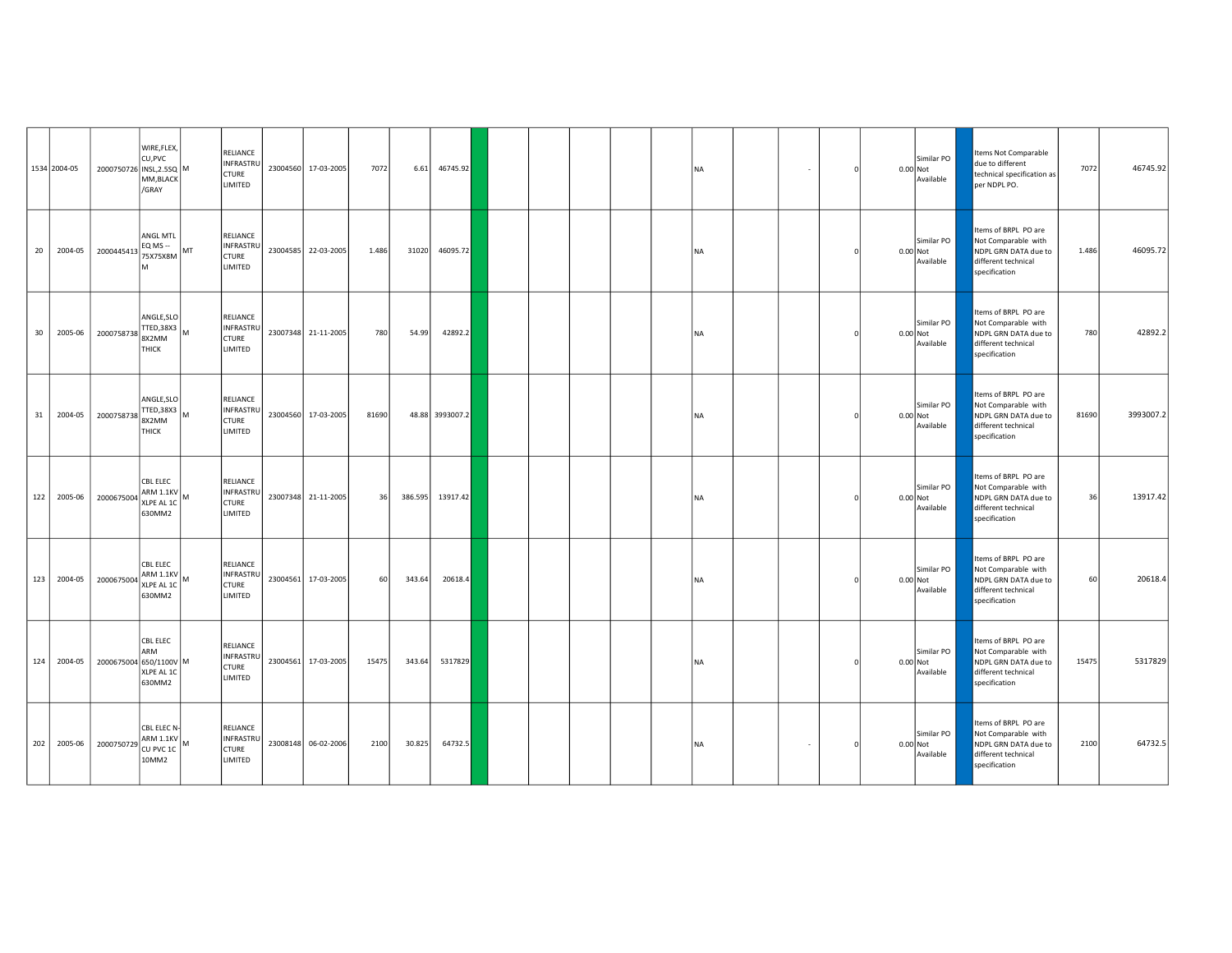|    | 1534 2004-05 | 2000750726 INSL, 2.5SQ M | WIRE, FLEX,<br>CU, PVC<br>MM, BLACK<br>/GRAY                        |    | RELIANCE<br>INFRASTRU<br><b>CTURE</b><br>LIMITED        |          | 23004560 17-03-2005 | 7072  | 6.61    | 46745.92        |  |  | <b>NA</b> |  |  | Similar PO<br>$0.00$ Not<br>Available | Items Not Comparable<br>due to different<br>technical specification as<br>per NDPL PO.                      | 7072  | 46745.92  |
|----|--------------|--------------------------|---------------------------------------------------------------------|----|---------------------------------------------------------|----------|---------------------|-------|---------|-----------------|--|--|-----------|--|--|---------------------------------------|-------------------------------------------------------------------------------------------------------------|-------|-----------|
| 20 | 2004-05      | 2000445413               | ANGL MTL<br>EQ MS --<br>75X75X8M                                    | MT | RELIANCE<br>INFRASTRU<br><b>CTURE</b><br>LIMITED        |          | 23004585 22-03-2005 | 1.486 | 31020   | 46095.72        |  |  | <b>NA</b> |  |  | Similar PO<br>0.00 Not<br>Available   | tems of BRPL PO are<br>Not Comparable with<br>NDPL GRN DATA due to<br>different technical<br>specification  | 1.486 | 46095.72  |
| 30 | 2005-06      | 2000758738               | ANGLE, SLO<br>$TTED, 38X3$ M<br>8X2MM<br>THICK                      |    | RELIANCE<br>INFRASTRU<br><b>CTURE</b><br>LIMITED        |          | 23007348 21-11-2005 | 780   | 54.99   | 42892.2         |  |  | <b>NA</b> |  |  | Similar PO<br>0.00 Not<br>Available   | Items of BRPL PO are<br>Not Comparable with<br>NDPL GRN DATA due to<br>different technical<br>specification | 780   | 42892.2   |
| 31 | 2004-05      | 2000758738               | ANGLE, SLO<br>TTED, 38X3 $\vert$ M<br>8X2MM<br>THICK                |    | RELIANCE<br>INFRASTRU<br><b>CTURE</b><br><b>LIMITED</b> | 23004560 | 17-03-2005          | 81690 |         | 48.88 3993007.2 |  |  | <b>NA</b> |  |  | Similar PO<br>0.00 Not<br>Available   | Items of BRPL PO are<br>Not Comparable with<br>NDPL GRN DATA due to<br>different technical<br>specification | 81690 | 3993007.2 |
|    | 122 2005-06  | 2000675004               | CBL ELEC<br>ARM 1.1KV M<br>XLPE AL 1C<br>630MM2                     |    | <b>RELIANCE</b><br>INFRASTRU<br><b>CTURE</b><br>LIMITED |          | 23007348 21-11-2005 | 36    | 386.595 | 13917.42        |  |  | <b>NA</b> |  |  | Similar PO<br>0.00 Not<br>Available   | Items of BRPL PO are<br>Not Comparable with<br>NDPL GRN DATA due to<br>different technical<br>specification | 36    | 13917.42  |
|    | 123 2004-05  | 2000675004               | <b>CBL ELEC</b><br>$ARM 1.1KV$ <sub>M</sub><br>XLPE AL 1C<br>630MM2 |    | RELIANCE<br>INFRASTRU<br><b>CTURE</b><br>LIMITED        | 23004561 | 17-03-2005          | 60    | 343.64  | 20618.4         |  |  | <b>NA</b> |  |  | Similar PO<br>$0.00$ Not<br>Available | Items of BRPL PO are<br>Not Comparable with<br>NDPL GRN DATA due to<br>different technical<br>specification | 60    | 20618.4   |
|    | 124 2004-05  | 2000675004 650/1100V M   | CBL ELEC<br>ARM<br>XLPE AL 1C<br>630MM2                             |    | RELIANCE<br>INFRASTRU<br><b>CTURE</b><br>LIMITED        | 23004561 | 17-03-2005          | 15475 | 343.64  | 5317829         |  |  | <b>NA</b> |  |  | Similar PO<br>0.00 Not<br>Available   | Items of BRPL PO are<br>Not Comparable with<br>NDPL GRN DATA due to<br>different technical<br>specification | 15475 | 5317829   |
|    | 202 2005-06  | 2000750729               | CBL ELEC N-<br>$ARM 1.1KV$ <sub>M</sub><br>CU PVC 1C<br>10MM2       |    | RELIANCE<br>INFRASTRU<br><b>CTURE</b><br>LIMITED        |          | 23008148 06-02-2006 | 2100  | 30.825  | 64732.5         |  |  | <b>NA</b> |  |  | Similar PO<br>0.00 Not<br>Available   | Items of BRPL PO are<br>Not Comparable with<br>NDPL GRN DATA due to<br>different technical<br>specification | 2100  | 64732.5   |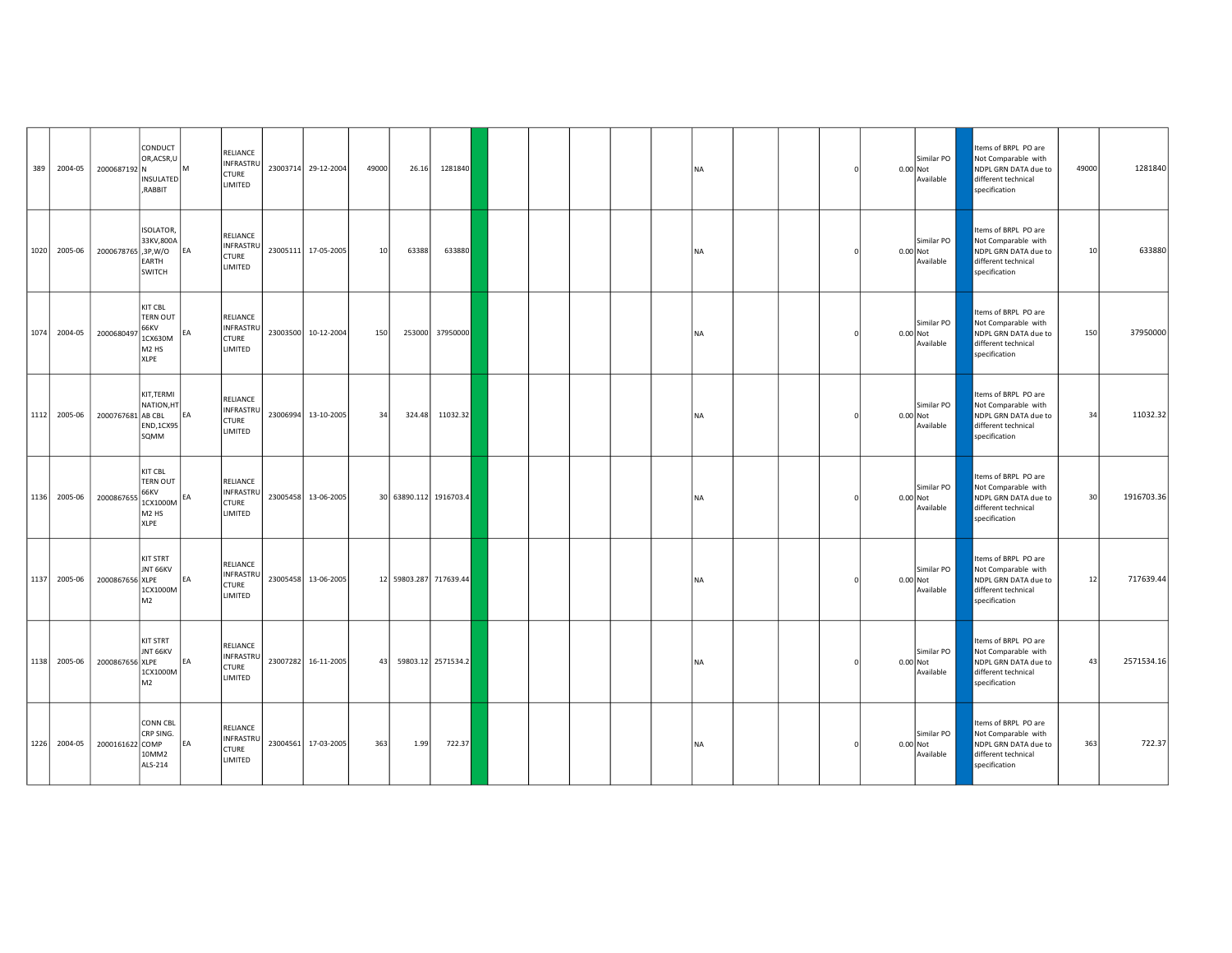| 389 | 2004-05      | 2000687192 N      | CONDUCT<br>OR, ACSR, U<br><b>INSULATED</b><br>RABBIT,                                                |           | RELIANCE<br>INFRASTRU<br>CTURE<br>LIMITED               | 23003714 29-12-2004 | 49000 | 26.16  | 1281840                |  |  | <b>NA</b> |  |  | Similar PO<br>$0.00$ Not<br>Available | Items of BRPL PO are<br>Not Comparable with<br>NDPL GRN DATA due to<br>different technical<br>specification | 49000 | 1281840    |
|-----|--------------|-------------------|------------------------------------------------------------------------------------------------------|-----------|---------------------------------------------------------|---------------------|-------|--------|------------------------|--|--|-----------|--|--|---------------------------------------|-------------------------------------------------------------------------------------------------------------|-------|------------|
|     | 1020 2005-06 | 2000678765,3P,W/O | <b>ISOLATOR.</b><br>33KV,800A<br>EARTH<br>SWITCH                                                     | EA        | RELIANCE<br>INFRASTRU<br>CTURE<br>LIMITED               | 23005111 17-05-2005 | 10    | 63388  | 633880                 |  |  | <b>NA</b> |  |  | Similar PO<br>$0.00$ Not<br>Available | Items of BRPL PO are<br>Not Comparable with<br>NDPL GRN DATA due to<br>different technical<br>specification | 10    | 633880     |
|     | 1074 2004-05 | 2000680497        | <b>KIT CBL</b><br><b>TERN OUT</b><br>66KV<br>1CX630M<br>M <sub>2</sub> H <sub>S</sub><br><b>XLPE</b> | EA        | RELIANCE<br>INFRASTRU<br><b>CTURE</b><br><b>LIMITED</b> | 23003500 10-12-2004 | 150   | 253000 | 37950000               |  |  | <b>NA</b> |  |  | Similar PO<br>0.00 Not<br>Available   | Items of BRPL PO are<br>Not Comparable with<br>NDPL GRN DATA due to<br>different technical<br>specification | 150   | 37950000   |
|     | 1112 2005-06 | 2000767681 AB CBL | KIT, TERMI<br>NATION, HT<br><b>END,1CX95</b><br>SQMM                                                 | EA        | RELIANCE<br>INFRASTRU<br><b>CTURE</b><br>LIMITED        | 23006994 13-10-2005 | 34    | 324.48 | 11032.32               |  |  | <b>NA</b> |  |  | Similar PO<br>$0.00$ Not<br>Available | Items of BRPL PO are<br>Not Comparable with<br>NDPL GRN DATA due to<br>different technical<br>specification | 34    | 11032.32   |
|     | 1136 2005-06 | 2000867655        | KIT CBL<br><b>TERN OUT</b><br>66KV<br>1CX1000M<br>M <sub>2</sub> H <sub>S</sub><br>XLPE              | EA        | RELIANCE<br>INFRASTRU<br>CTURE<br>LIMITED               | 23005458 13-06-2005 |       |        | 30 63890.112 1916703.4 |  |  | <b>NA</b> |  |  | Similar PO<br>0.00 Not<br>Available   | Items of BRPL PO are<br>Not Comparable with<br>NDPL GRN DATA due to<br>different technical<br>specification | 30    | 1916703.36 |
|     | 1137 2005-06 | 2000867656 XLPE   | <b>KIT STRT</b><br>JNT 66KV<br>1CX1000M<br>M <sub>2</sub>                                            | EA        | RELIANCE<br>INFRASTRU<br>CTURE<br>LIMITED               | 23005458 13-06-2005 |       |        | 12 59803.287 717639.44 |  |  | <b>NA</b> |  |  | Similar PO<br>$0.00$ Not<br>Available | Items of BRPL PO are<br>Not Comparable with<br>NDPL GRN DATA due to<br>different technical<br>specification | 12    | 717639.44  |
|     | 1138 2005-06 | 2000867656 XLPE   | <b>KIT STRT</b><br>JNT 66KV<br>1CX1000M<br>M <sub>2</sub>                                            | EA        | RELIANCE<br>INFRASTRU<br><b>CTURE</b><br><b>LIMITED</b> | 23007282 16-11-2005 | 43    |        | 59803.12 2571534.2     |  |  | <b>NA</b> |  |  | Similar PO<br>$0.00$ Not<br>Available | Items of BRPL PO are<br>Not Comparable with<br>NDPL GRN DATA due to<br>different technical<br>specification | 43    | 2571534.16 |
|     | 1226 2004-05 | 2000161622 COMP   | <b>CONN CBL</b><br>CRP SING.<br>10MM2<br>ALS-214                                                     | <b>EA</b> | RELIANCE<br>INFRASTRU<br><b>CTURE</b><br>LIMITED        | 23004561 17-03-2005 | 363   | 1.99   | 722.37                 |  |  | <b>NA</b> |  |  | Similar PO<br>0.00 Not<br>Available   | Items of BRPL PO are<br>Not Comparable with<br>NDPL GRN DATA due to<br>different technical<br>specification | 363   | 722.37     |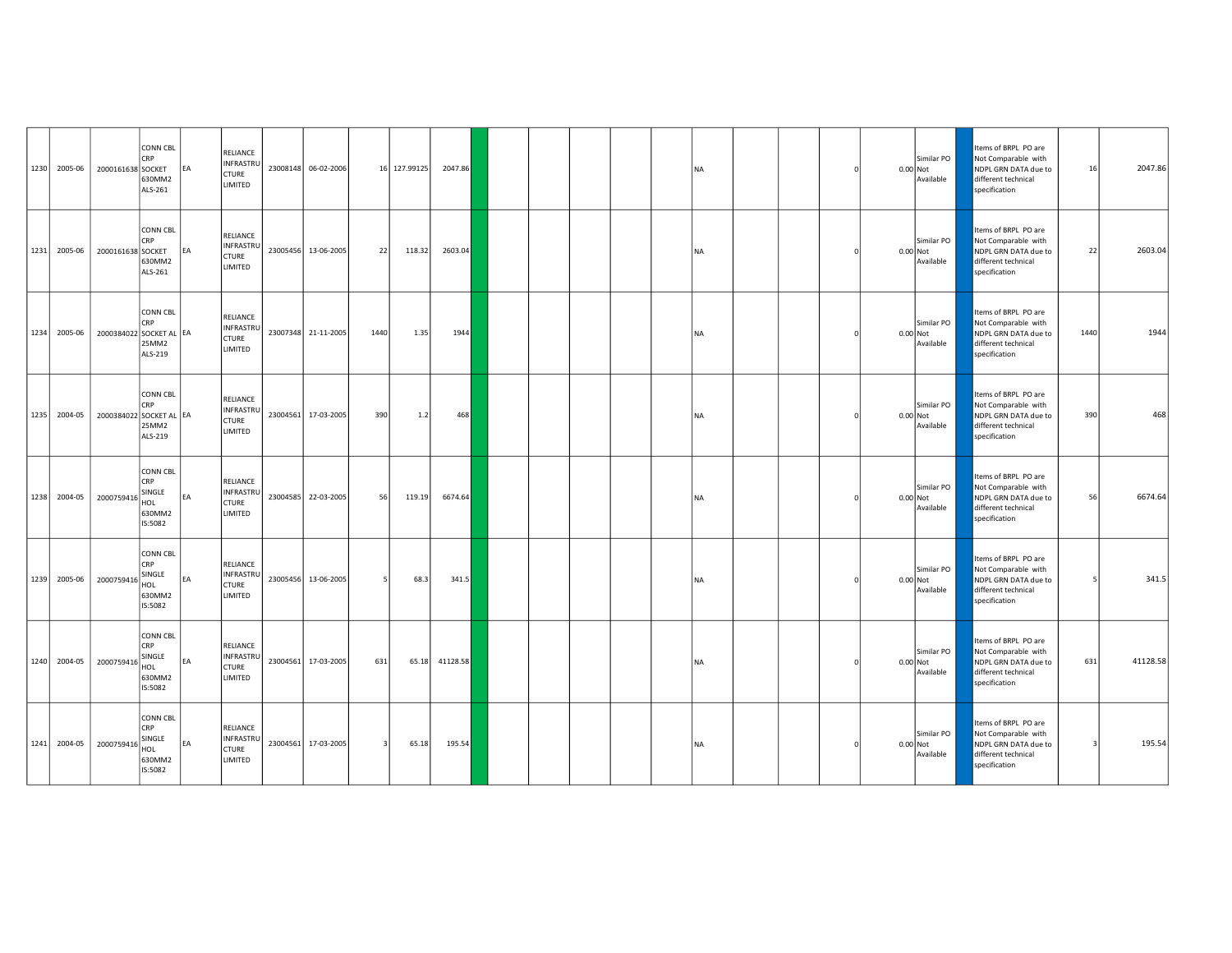| 1230 2005-06 | 2000161638 SOCKET       | <b>CONN CBL</b><br><b>CRP</b><br>630MM2<br>ALS-261                  | EA | RELIANCE<br>INFRASTRU<br>CTURE<br>LIMITED               | 23008148 06-02-2006 |      | 16 127.99125 | 2047.86  |  |  | <b>NA</b> |  |  | Similar PO<br>$0.00$ Not<br>Available | Items of BRPL PO are<br>Not Comparable with<br>NDPL GRN DATA due to<br>different technical<br>specification | 16   | 2047.86  |
|--------------|-------------------------|---------------------------------------------------------------------|----|---------------------------------------------------------|---------------------|------|--------------|----------|--|--|-----------|--|--|---------------------------------------|-------------------------------------------------------------------------------------------------------------|------|----------|
| 1231 2005-06 | 2000161638 SOCKET       | CONN CBL<br>CRP<br>630MM2<br>ALS-261                                | EA | RELIANCE<br><b>INFRASTRU</b><br>CTURE<br>LIMITED        | 23005456 13-06-2005 | 22   | 118.32       | 2603.04  |  |  | <b>NA</b> |  |  | Similar PO<br>0.00 Not<br>Available   | Items of BRPL PO are<br>Not Comparable with<br>NDPL GRN DATA due to<br>different technical<br>specification | 22   | 2603.04  |
| 1234 2005-06 | 2000384022 SOCKET AL EA | <b>CONN CBL</b><br>CRP<br>25MM2<br>ALS-219                          |    | RELIANCE<br>INFRASTRU<br>CTURE<br>LIMITED               | 23007348 21-11-2005 | 1440 | 1.35         | 1944     |  |  | <b>NA</b> |  |  | Similar PO<br>$0.00$ Not<br>Available | Items of BRPL PO are<br>Not Comparable with<br>NDPL GRN DATA due to<br>different technical<br>specification | 1440 | 1944     |
| 1235 2004-05 | 2000384022 SOCKET AL EA | <b>CONN CBL</b><br><b>CRP</b><br>25MM2<br>ALS-219                   |    | RELIANCE<br>INFRASTRU<br><b>CTURE</b><br>LIMITED        | 23004561 17-03-2005 | 390  | 1.2          | 468      |  |  | <b>NA</b> |  |  | Similar PO<br>$0.00$ Not<br>Available | Items of BRPL PO are<br>Not Comparable with<br>NDPL GRN DATA due to<br>different technical<br>specification | 390  | 468      |
| 1238 2004-05 | 2000759416              | <b>CONN CBL</b><br>CRP<br>SINGLE<br>HOL<br>630MM2<br>IS:5082        | EA | RELIANCE<br>INFRASTRU<br>CTURE<br>LIMITED               | 23004585 22-03-2005 | 56   | 119.19       | 6674.64  |  |  | <b>NA</b> |  |  | Similar PO<br>0.00 Not<br>Available   | Items of BRPL PO are<br>Not Comparable with<br>NDPL GRN DATA due to<br>different technical<br>specification | 56   | 6674.64  |
| 1239 2005-06 | 2000759416              | <b>CONN CBL</b><br><b>CRP</b><br>SINGLE<br>HOL<br>630MM2<br>IS:5082 | EA | RELIANCE<br>INFRASTRU<br>CTURE<br>LIMITED               | 23005456 13-06-2005 |      | 68.3         | 341.5    |  |  | <b>NA</b> |  |  | Similar PO<br>$0.00$ Not<br>Available | Items of BRPL PO are<br>Not Comparable with<br>NDPL GRN DATA due to<br>different technical<br>specification |      | 341.5    |
| 1240 2004-05 | 2000759416              | <b>CONN CBL</b><br>CRP<br>SINGLE<br>HOL<br>630MM2<br>IS:5082        | EA | RELIANCE<br><b>INFRASTRU</b><br><b>CTURE</b><br>LIMITED | 23004561 17-03-2005 | 631  | 65.18        | 41128.58 |  |  | <b>NA</b> |  |  | Similar PO<br>$0.00$ Not<br>Available | Items of BRPL PO are<br>Not Comparable with<br>NDPL GRN DATA due to<br>different technical<br>specification | 631  | 41128.58 |
| 1241 2004-05 | 2000759416              | <b>CONN CBL</b><br><b>CRP</b><br>SINGLE<br>HOL<br>630MM2<br>IS:5082 | EA | RELIANCE<br>INFRASTRU<br><b>CTURE</b><br>LIMITED        | 23004561 17-03-2005 |      | 65.18        | 195.54   |  |  | <b>NA</b> |  |  | Similar PO<br>0.00 Not<br>Available   | Items of BRPL PO are<br>Not Comparable with<br>NDPL GRN DATA due to<br>different technical<br>specification | -3   | 195.54   |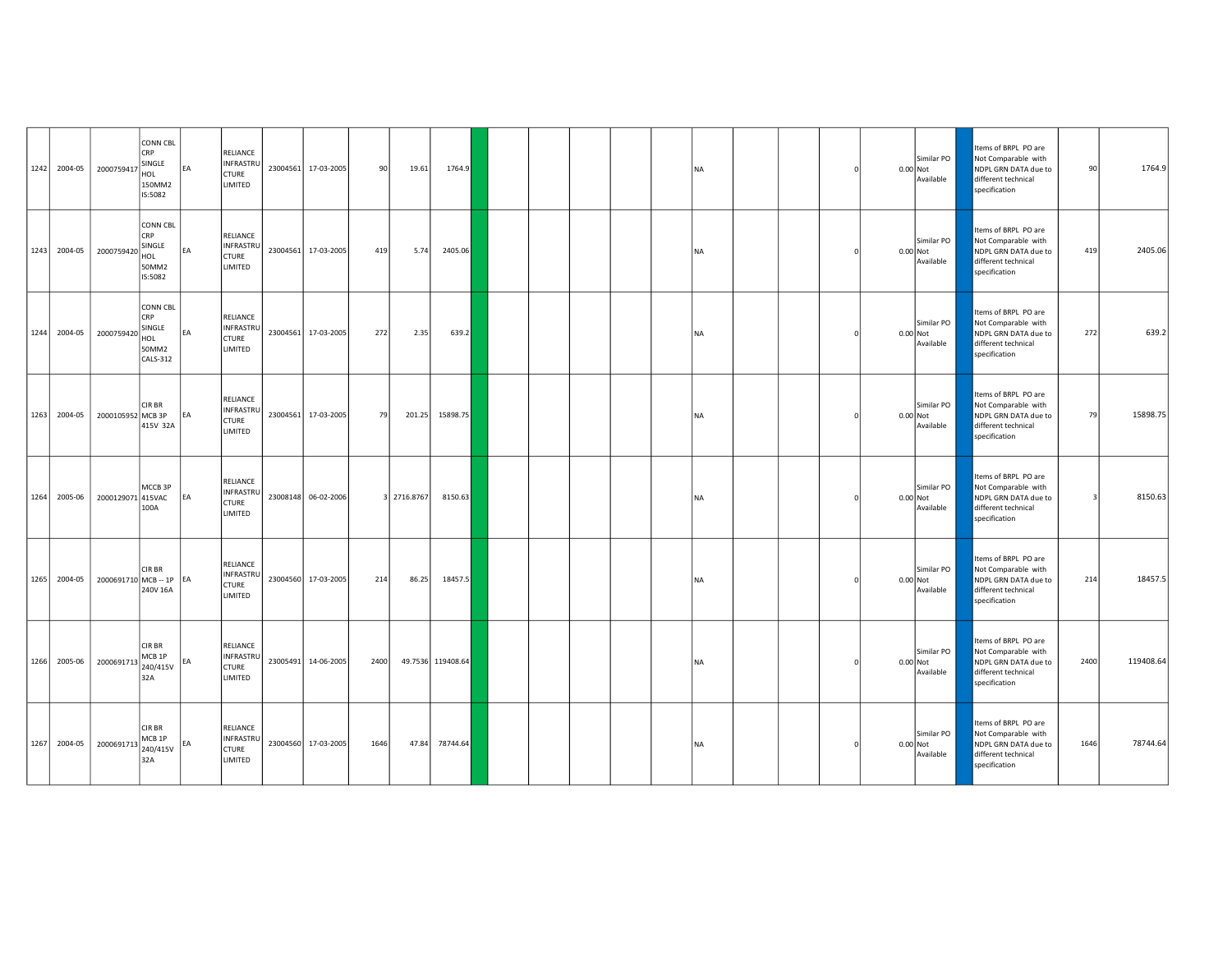| 1242 2004-05 | 2000759417           | <b>CONN CBL</b><br><b>CRP</b><br>SINGLE<br>HOL<br>150MM2<br>IS:5082        | <b>EA</b> | RELIANCE<br>INFRASTRU<br><b>CTURE</b><br><b>LIMITED</b>               | 23004561 | 17-03-2005          | 90   | 19.61       | 1764.9            |  |  | <b>NA</b> |  |  | Similar PO<br>$0.00$ Not<br>Available | Items of BRPL PO are<br>Not Comparable with<br>NDPL GRN DATA due to<br>different technical<br>specification | 90   | 1764.9    |
|--------------|----------------------|----------------------------------------------------------------------------|-----------|-----------------------------------------------------------------------|----------|---------------------|------|-------------|-------------------|--|--|-----------|--|--|---------------------------------------|-------------------------------------------------------------------------------------------------------------|------|-----------|
| 1243 2004-05 | 2000759420           | CONN CBL<br>CRP<br>SINGLE<br>HOL<br>50MM2<br>IS:5082                       | EA        | RELIANCE<br>INFRASTRU<br><b>CTURE</b><br>LIMITED                      | 23004561 | 17-03-2005          | 419  | 5.74        | 2405.06           |  |  | <b>NA</b> |  |  | Similar PO<br>0.00 Not<br>Available   | tems of BRPL PO are<br>Not Comparable with<br>NDPL GRN DATA due to<br>different technical<br>specification  | 419  | 2405.06   |
| 1244 2004-05 | 2000759420           | <b>CONN CBL</b><br><b>CRP</b><br>SINGLE<br>HOL<br>50MM2<br><b>CALS-312</b> | EA        | <b>RELIANCE</b><br>INFRASTRU<br><b>CTURE</b><br>LIMITED               | 23004561 | 17-03-2005          | 272  | 2.35        | 639.2             |  |  | <b>NA</b> |  |  | Similar PO<br>$0.00$ Not<br>Available | Items of BRPL PO are<br>Not Comparable with<br>NDPL GRN DATA due to<br>different technical<br>specification | 272  | 639.2     |
| 1263 2004-05 | 2000105952 MCB 3P    | CIR BR<br>415V 32A                                                         | EA        | RELIANCE<br>INFRASTRU<br><b>CTURE</b><br>LIMITED                      | 23004561 | 17-03-2005          | 79   | 201.25      | 15898.75          |  |  | <b>NA</b> |  |  | Similar PO<br>0.00 Not<br>Available   | Items of BRPL PO are<br>Not Comparable with<br>NDPL GRN DATA due to<br>different technical<br>specification | 79   | 15898.75  |
| 1264 2005-06 | 2000129071           | MCCB 3P<br>415VAC<br>100A                                                  | EA        | <b>RELIANCE</b><br><b>INFRASTRU</b><br><b>CTURE</b><br><b>LIMITED</b> |          | 23008148 06-02-2006 |      | 3 2716.8767 | 8150.63           |  |  | <b>NA</b> |  |  | Similar PO<br>0.00 Not<br>Available   | Items of BRPL PO are<br>Not Comparable with<br>NDPL GRN DATA due to<br>different technical<br>specification |      | 8150.63   |
| 1265 2004-05 | 2000691710 MCB-1P EA | CIR BR<br>240V 16A                                                         |           | RELIANCE<br>INFRASTRU<br><b>CTURE</b><br>LIMITED                      |          | 23004560 17-03-2005 | 214  | 86.25       | 18457.5           |  |  | <b>NA</b> |  |  | Similar PO<br>$0.00$ Not<br>Available | Items of BRPL PO are<br>Not Comparable with<br>NDPL GRN DATA due to<br>different technical<br>specification | 214  | 18457.5   |
| 1266 2005-06 | 2000691713           | <b>CIRBR</b><br>MCB <sub>1P</sub><br>240/415V<br>32A                       | EA        | <b>RELIANCE</b><br>INFRASTRU<br><b>CTURE</b><br>LIMITED               | 23005491 | 14-06-2005          | 2400 |             | 49.7536 119408.64 |  |  | <b>NA</b> |  |  | Similar PO<br>$0.00$ Not<br>Available | Items of BRPL PO are<br>Not Comparable with<br>NDPL GRN DATA due to<br>different technical<br>specification | 2400 | 119408.64 |
| 1267 2004-05 | 2000691713           | CIR BR<br>MCB <sub>1P</sub><br>240/415V<br>32A                             | EA        | RELIANCE<br>INFRASTRU<br><b>CTURE</b><br>LIMITED                      | 23004560 | 17-03-2005          | 1646 | 47.84       | 78744.64          |  |  | <b>NA</b> |  |  | Similar PO<br>$0.00$ Not<br>Available | Items of BRPL PO are<br>Not Comparable with<br>NDPL GRN DATA due to<br>different technical<br>specification | 1646 | 78744.64  |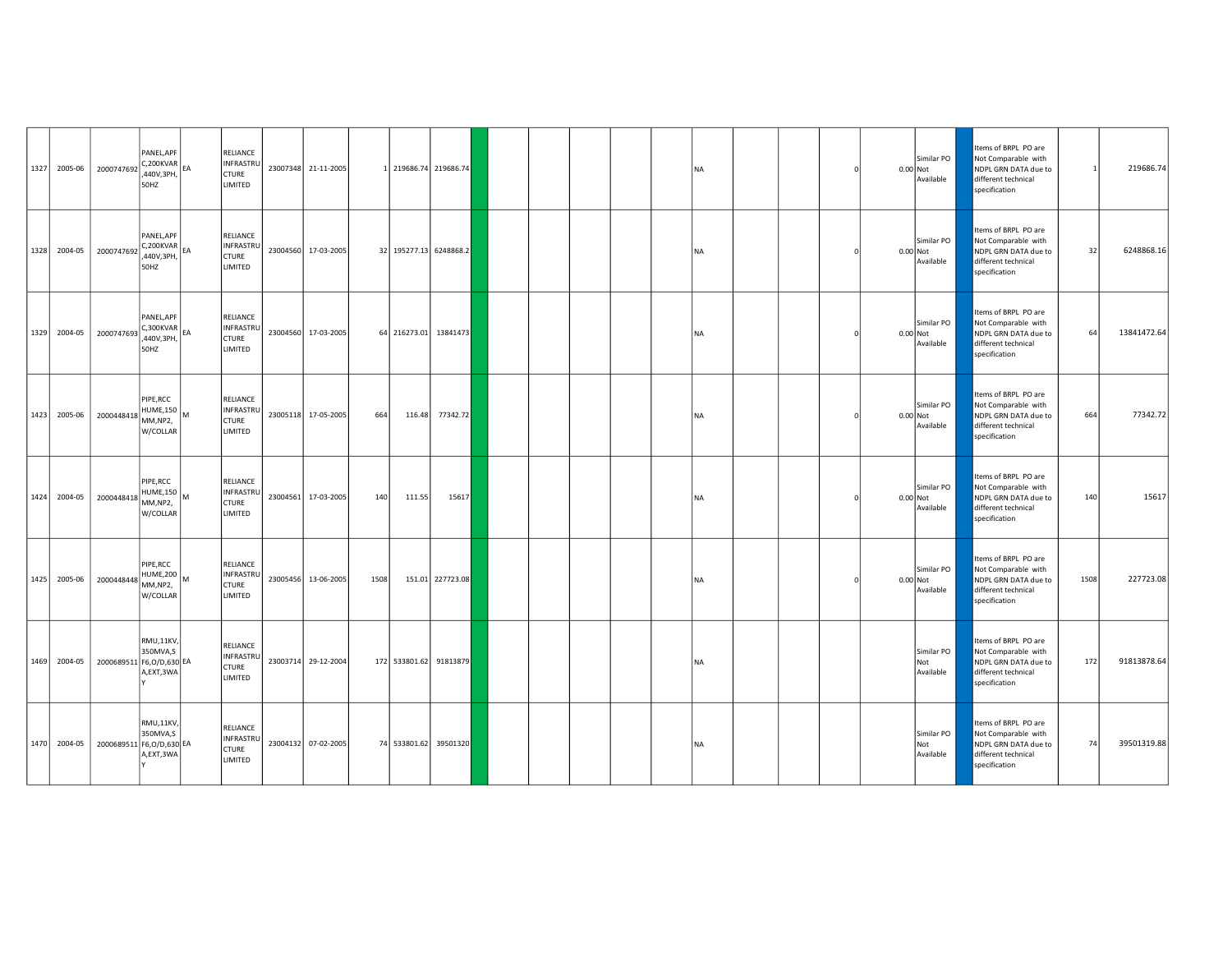| 1327 2005-06 | 2000747692                 | PANEL, APF<br>$C, 200KVAR$ <sub>EA</sub><br>,440V,3PH,<br>50HZ | RELIANCE<br>INFRASTRU<br><b>CTURE</b><br><b>LIMITED</b>        |          | 23007348 21-11-2005 |      |                        | 1 219686.74 219686.74 |  |  | <b>NA</b> |  |  | Similar PO<br>0.00 Not<br>Available   | Items of BRPL PO are<br>Not Comparable with<br>NDPL GRN DATA due to<br>different technical<br>specification | $\mathbf{1}$ | 219686.74   |
|--------------|----------------------------|----------------------------------------------------------------|----------------------------------------------------------------|----------|---------------------|------|------------------------|-----------------------|--|--|-----------|--|--|---------------------------------------|-------------------------------------------------------------------------------------------------------------|--------------|-------------|
| 1328 2004-05 | 2000747692                 | PANEL, APF<br>$ C, 200$ KVAR $ _{EA}$<br>440V,3PH,<br>50HZ     | RELIANCE<br>INFRASTRU<br><b>CTURE</b><br>LIMITED               |          | 23004560 17-03-2005 |      | 32 195277.13 6248868.2 |                       |  |  | <b>NA</b> |  |  | Similar PO<br>0.00 Not<br>Available   | tems of BRPL PO are<br>Not Comparable with<br>NDPL GRN DATA due to<br>different technical<br>specification  | 32           | 6248868.16  |
| 1329 2004-05 | 2000747693                 | PANEL.APF<br>$C,300$ KVAR $E_{BA}$<br>,440V,3PH,<br>50HZ       | <b>RELIANCE</b><br>INFRASTRU<br><b>CTURE</b><br>LIMITED        | 23004560 | 17-03-2005          |      |                        | 64 216273.01 13841473 |  |  | <b>NA</b> |  |  | Similar PO<br>$0.00$ Not<br>Available | Items of BRPL PO are<br>Not Comparable with<br>NDPL GRN DATA due to<br>different technical<br>specification | 64           | 13841472.64 |
| 1423 2005-06 | 2000448418                 | PIPE, RCC<br>HUME,150<br>MM,NP2,<br>W/COLLAR                   | RELIANCE<br>INFRASTRU<br><b>CTURE</b><br>LIMITED               | 23005118 | 17-05-2005          | 664  | 116.48                 | 77342.72              |  |  | <b>NA</b> |  |  | Similar PO<br>0.00 Not<br>Available   | Items of BRPL PO are<br>Not Comparable with<br>NDPL GRN DATA due to<br>different technical<br>specification | 664          | 77342.72    |
| 1424 2004-05 | 2000448418                 | PIPE, RCC<br>$HUME,150$ M<br>MM,NP2,<br>W/COLLAR               | <b>RELIANCE</b><br><b>INFRASTRL</b><br><b>CTURE</b><br>LIMITED |          | 23004561 17-03-2005 | 140  | 111.55                 | 15617                 |  |  | <b>NA</b> |  |  | Similar PO<br>0.00 Not<br>Available   | Items of BRPL PO are<br>Not Comparable with<br>NDPL GRN DATA due to<br>different technical<br>specification | 140          | 15617       |
| 1425 2005-06 | 2000448448                 | PIPE, RCC<br>HUME,200<br>MM,NP2,<br>W/COLLAR                   | RELIANCE<br>INFRASTRU<br><b>CTURE</b><br>LIMITED               | 23005456 | 13-06-2005          | 1508 |                        | 151.01 227723.08      |  |  | <b>NA</b> |  |  | Similar PO<br>0.00 Not<br>Available   | Items of BRPL PO are<br>Not Comparable with<br>NDPL GRN DATA due to<br>different technical<br>specification | 1508         | 227723.08   |
| 1469 2004-05 | 2000689511 F6, O/D, 630 EA | RMU,11KV,<br>350MVA,S<br>A,EXT,3WA                             | <b>RELIANCE</b><br>INFRASTRU<br><b>CTURE</b><br>LIMITED        |          | 23003714 29-12-2004 |      | 172 533801.62 91813879 |                       |  |  | <b>NA</b> |  |  | Similar PO<br>Not<br>Available        | Items of BRPL PO are<br>Not Comparable with<br>NDPL GRN DATA due to<br>different technical<br>specification | 172          | 91813878.64 |
| 1470 2004-05 | 2000689511 F6,0/D,630 EA   | RMU,11KV,<br>350MVA,S<br>A,EXT,3WA                             | RELIANCE<br>INFRASTRU<br><b>CTURE</b><br>LIMITED               |          | 23004132 07-02-2005 |      | 74 533801.62 39501320  |                       |  |  | <b>NA</b> |  |  | Similar PO<br>Not<br>Available        | Items of BRPL PO are<br>Not Comparable with<br>NDPL GRN DATA due to<br>different technical<br>specification | 74           | 39501319.88 |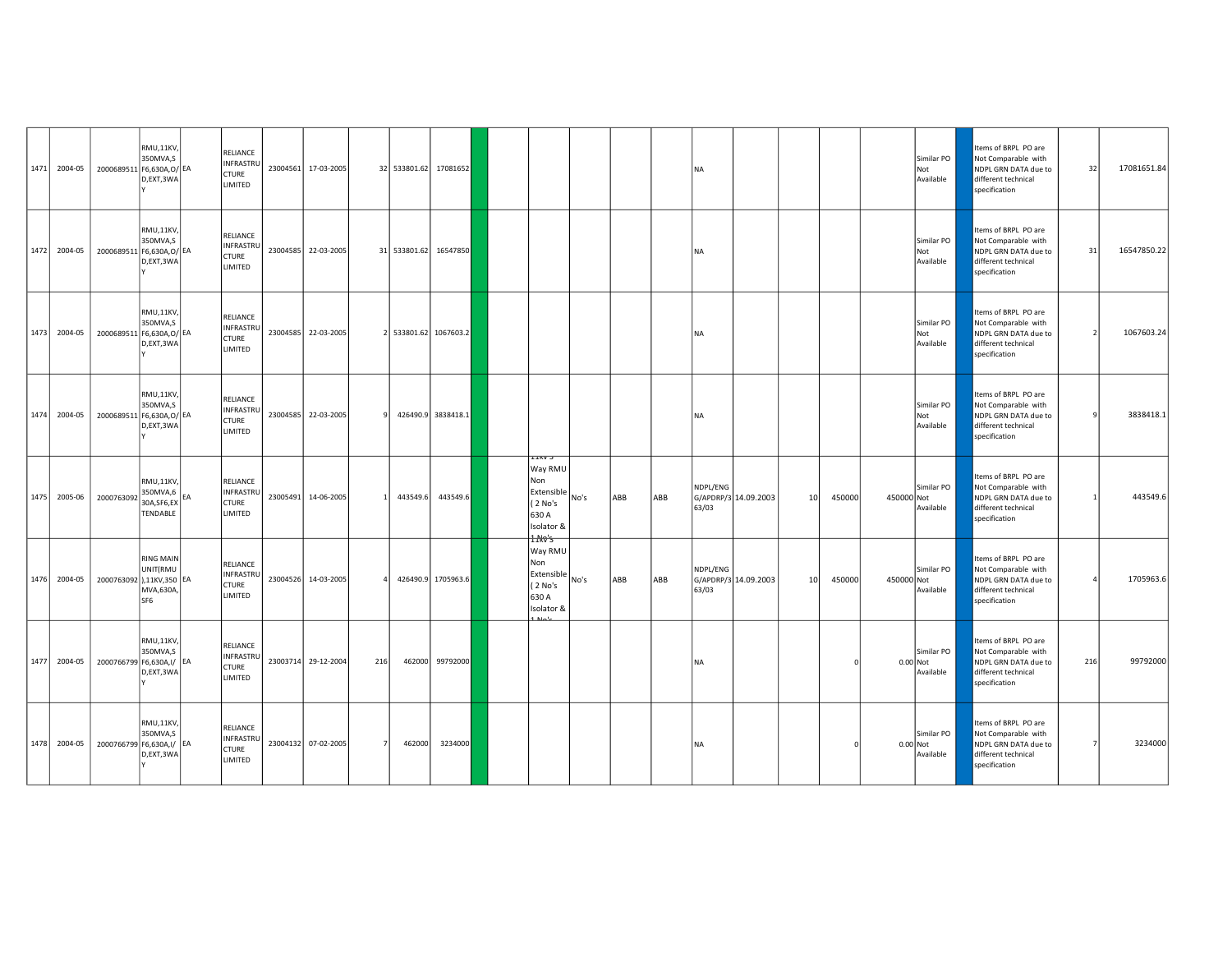|      | 1471 2004-05 | 2000689511 F6,630A, O/ EA | RMU,11KV,<br>350MVA.S<br>D,EXT,3WA                           |           | RELIANCE<br>INFRASTRU<br>CTURE<br>LIMITED        | 23004561 17-03-2005 |     | 32 533801.62 | 17081652              |                                                                                                          |      |     |     | <b>NA</b>         |                      |                 |        |            | Similar PO<br>Not<br>Available        | Items of BRPL PO are<br>Not Comparable with<br>NDPL GRN DATA due to<br>different technical<br>specification | 32  | 17081651.84 |
|------|--------------|---------------------------|--------------------------------------------------------------|-----------|--------------------------------------------------|---------------------|-----|--------------|-----------------------|----------------------------------------------------------------------------------------------------------|------|-----|-----|-------------------|----------------------|-----------------|--------|------------|---------------------------------------|-------------------------------------------------------------------------------------------------------------|-----|-------------|
|      | 1472 2004-05 | 2000689511 F6,630A, O/ EA | RMU,11KV,<br>350MVA,S<br>D,EXT,3WA                           |           | RELIANCE<br>INFRASTRU<br>CTURE<br>LIMITED        | 23004585 22-03-2005 |     |              | 31 533801.62 16547850 |                                                                                                          |      |     |     | <b>NA</b>         |                      |                 |        |            | Similar PO<br>Not<br>Available        | tems of BRPL PO are<br>Not Comparable with<br>NDPL GRN DATA due to<br>different technical<br>specification  | 31  | 16547850.22 |
|      | 1473 2004-05 | 2000689511 F6,630A, O/ EA | RMU,11KV,<br>350MVA,S<br>D,EXT,3WA                           |           | RELIANCE<br><b>INFRASTRU</b><br>CTURE<br>LIMITED | 23004585 22-03-2005 |     |              | 2 533801.62 1067603.2 |                                                                                                          |      |     |     | <b>NA</b>         |                      |                 |        |            | Similar PO<br>Not<br>Available        | Items of BRPL PO are<br>Not Comparable with<br>NDPL GRN DATA due to<br>different technical<br>specification |     | 1067603.24  |
|      | 1474 2004-05 | 2000689511                | RMU,11KV,<br>350MVA,S<br>F6,630A,O/ EA<br>D,EXT,3WA          |           | RELIANCE<br>INFRASTRU<br><b>CTURE</b><br>LIMITED | 23004585 22-03-2005 |     |              | 426490.9 3838418.1    |                                                                                                          |      |     |     | <b>NA</b>         |                      |                 |        |            | Similar PO<br>Not<br>Available        | Items of BRPL PO are<br>Not Comparable with<br>NDPL GRN DATA due to<br>different technical<br>specification | q   | 3838418.1   |
| 1475 | 2005-06      | 2000763092                | RMU,11KV,<br>350MVA,6<br>30A, SF6, EX<br>TENDABLE            | <b>EA</b> | RELIANCE<br>INFRASTRU<br><b>CTURE</b><br>LIMITED | 23005491 14-06-2005 |     | 443549.6     | 443549.6              | <b>LIKV J</b><br>Way RMU<br>Non<br>$ \text{Extensible} _{\text{No's}}$<br>(2 No's<br>630 A<br>Isolator & |      | ABB | ABB | NDPL/ENG<br>63/03 | G/APDRP/3 14.09.2003 | 10 <sup>1</sup> | 450000 | 450000 Not | Similar PO<br>Available               | Items of BRPL PO are<br>Not Comparable with<br>NDPL GRN DATA due to<br>different technical<br>specification |     | 443549.6    |
|      | 1476 2004-05 | 2000763092 ),11KV,350 EA  | <b>RING MAIN</b><br>UNIT(RMU<br>MVA,630A,<br>SF <sub>6</sub> |           | RELIANCE<br>INFRASTRU<br><b>CTURE</b><br>LIMITED | 23004526 14-03-2005 |     |              | 426490.9 1705963.6    | 1 Mo's<br>Way RMU<br>Non<br>Extensible<br>(2 No's<br>630 A<br>Isolator &                                 | No's | ABB | ABB | NDPL/ENG<br>63/03 | G/APDRP/3 14.09.2003 | 10              | 450000 | 450000 Not | Similar PO<br>Available               | Items of BRPL PO are<br>Not Comparable with<br>NDPL GRN DATA due to<br>different technical<br>specification |     | 1705963.6   |
|      | 1477 2004-05 | 2000766799 F6,630A,I/ EA  | RMU,11KV,<br>350MVA,S<br>D,EXT,3WA                           |           | RELIANCE<br><b>INFRASTRU</b><br>CTURE<br>LIMITED | 23003714 29-12-2004 | 216 | 462000       | 99792000              |                                                                                                          |      |     |     | <b>NA</b>         |                      |                 |        |            | Similar PO<br>$0.00$ Not<br>Available | Items of BRPL PO are<br>Not Comparable with<br>NDPL GRN DATA due to<br>different technical<br>specification | 216 | 99792000    |
|      | 1478 2004-05 | 2000766799 F6,630A,I/ EA  | RMU,11KV,<br>350MVA,S<br>D,EXT,3WA                           |           | RELIANCE<br>INFRASTRU<br><b>CTURE</b><br>LIMITED | 23004132 07-02-2005 |     | 462000       | 3234000               |                                                                                                          |      |     |     | <b>NA</b>         |                      |                 |        | 0.00 Not   | Similar PO<br>Available               | Items of BRPL PO are<br>Not Comparable with<br>NDPL GRN DATA due to<br>different technical<br>specification |     | 3234000     |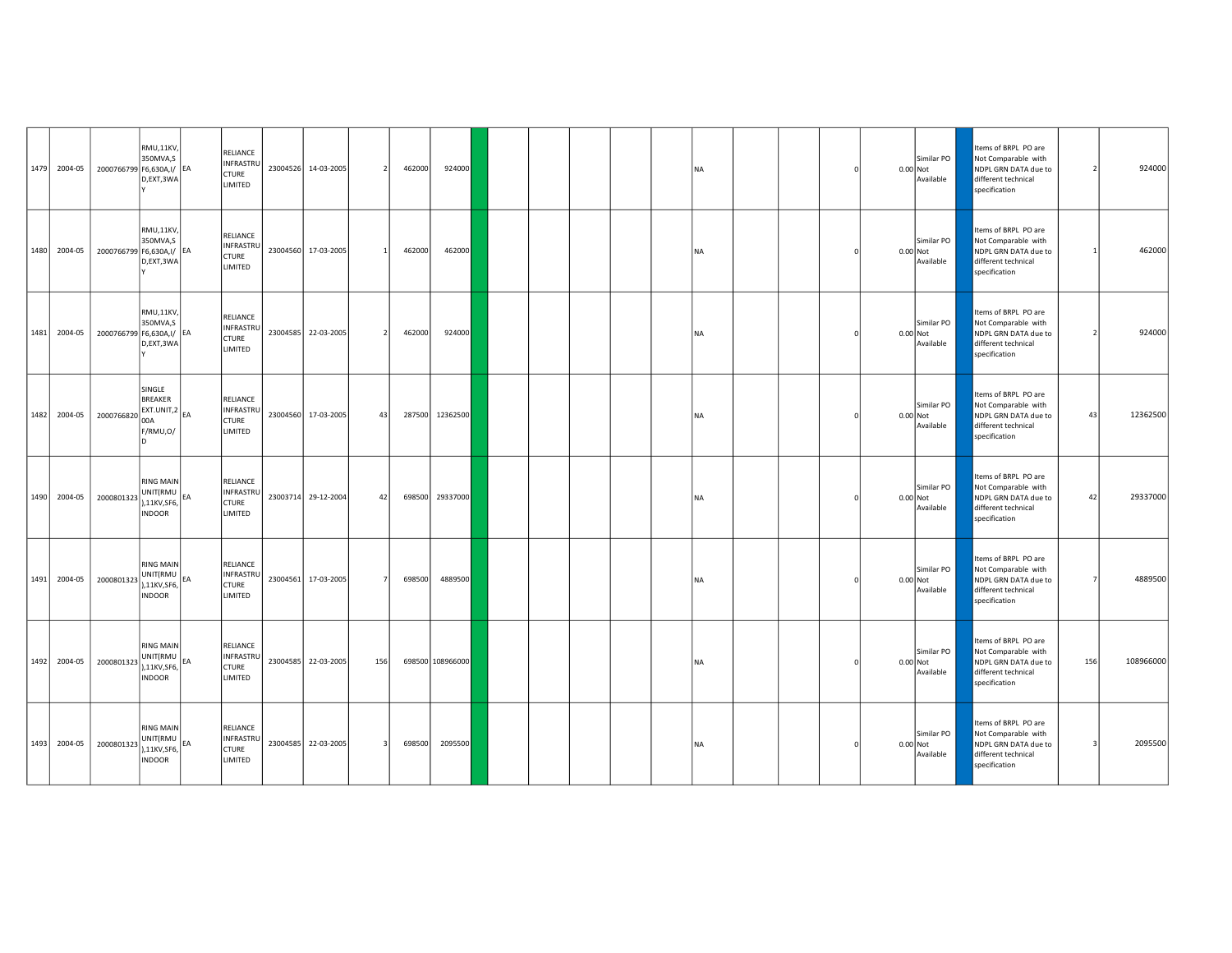| 1479 2004-05 | 2000766799 F6,630A,I/ EA | RMU,11KV,<br>350MVA.S<br>D,EXT,3WA                                     |    | RELIANCE<br>INFRASTRU<br><b>CTURE</b><br>LIMITED        |          | 23004526 14-03-2005 | $\overline{2}$ | 462000 | 924000           |  |  | <b>NA</b> |  |  | Similar PO<br>$0.00$ Not<br>Available | Items of BRPL PO are<br>Not Comparable with<br>NDPL GRN DATA due to<br>different technical<br>specification | -2  | 924000    |
|--------------|--------------------------|------------------------------------------------------------------------|----|---------------------------------------------------------|----------|---------------------|----------------|--------|------------------|--|--|-----------|--|--|---------------------------------------|-------------------------------------------------------------------------------------------------------------|-----|-----------|
| 1480 2004-05 | 2000766799 F6,630A,I/ EA | RMU,11KV,<br>350MVA,S<br>D,EXT,3WA                                     |    | RELIANCE<br>INFRASTRU<br><b>CTURE</b><br>LIMITED        |          | 23004560 17-03-2005 |                | 462000 | 462000           |  |  | <b>NA</b> |  |  | Similar PO<br>0.00 Not<br>Available   | tems of BRPL PO are<br>Not Comparable with<br>NDPL GRN DATA due to<br>different technical<br>specification  |     | 462000    |
| 1481 2004-05 | 2000766799 F6,630A,I/ EA | RMU,11KV,<br>350MVA,S<br>D,EXT,3WA                                     |    | RELIANCE<br>INFRASTRU<br><b>CTURE</b><br>LIMITED        |          | 23004585 22-03-2005 |                | 462000 | 924000           |  |  | <b>NA</b> |  |  | Similar PO<br>0.00 Not<br>Available   | Items of BRPL PO are<br>Not Comparable with<br>NDPL GRN DATA due to<br>different technical<br>specification |     | 924000    |
| 1482 2004-05 | 2000766820               | SINGLE<br><b>BREAKER</b><br>EXT.UNIT,2<br>00A<br>F/RMU,O/              |    | RELIANCE<br>INFRASTRU<br><b>CTURE</b><br>LIMITED        | 23004560 | 17-03-2005          | 43             | 287500 | 12362500         |  |  | <b>NA</b> |  |  | Similar PO<br>0.00 Not<br>Available   | Items of BRPL PO are<br>Not Comparable with<br>NDPL GRN DATA due to<br>different technical<br>specification | 43  | 12362500  |
| 1490 2004-05 | 2000801323               | <b>RING MAIN</b><br>UNIT(RMU EA),11KV,SF6,<br><b>INDOOR</b>            |    | <b>RELIANCE</b><br>INFRASTRU<br><b>CTURE</b><br>LIMITED |          | 23003714 29-12-2004 | 42             | 698500 | 29337000         |  |  | <b>NA</b> |  |  | Similar PO<br>0.00 Not<br>Available   | Items of BRPL PO are<br>Not Comparable with<br>NDPL GRN DATA due to<br>different technical<br>specification | 42  | 29337000  |
| 1491 2004-05 | 2000801323               | <b>RING MAIN</b><br>UNIT(RMU<br>),11KV,SF6,<br><b>INDOOR</b>           | EA | RELIANCE<br>INFRASTRU<br><b>CTURE</b><br>LIMITED        | 23004561 | 17-03-2005          |                | 698500 | 4889500          |  |  | <b>NA</b> |  |  | Similar PO<br>$0.00$ Not<br>Available | tems of BRPL PO are<br>Not Comparable with<br>NDPL GRN DATA due to<br>different technical<br>specification  |     | 4889500   |
| 1492 2004-05 | 2000801323               | <b>RING MAIN</b><br>UNIT(RMU EA),11KV,SF6,<br><b>INDOOR</b>            |    | RELIANCE<br>INFRASTRU<br><b>CTURE</b><br>LIMITED        |          | 23004585 22-03-2005 | 156            |        | 698500 108966000 |  |  | <b>NA</b> |  |  | Similar PO<br>0.00 Not<br>Available   | Items of BRPL PO are<br>Not Comparable with<br>NDPL GRN DATA due to<br>different technical<br>specification | 156 | 108966000 |
| 1493 2004-05 | 2000801323               | <b>RING MAIN</b><br>$ UNIT(RMU) _{EA}$<br>),11KV,SF6,<br><b>INDOOR</b> |    | RELIANCE<br>INFRASTRU<br><b>CTURE</b><br>LIMITED        |          | 23004585 22-03-2005 | $\mathbf{B}$   | 698500 | 2095500          |  |  | <b>NA</b> |  |  | Similar PO<br>0.00 Not<br>Available   | Items of BRPL PO are<br>Not Comparable with<br>NDPL GRN DATA due to<br>different technical<br>specification | 3   | 2095500   |